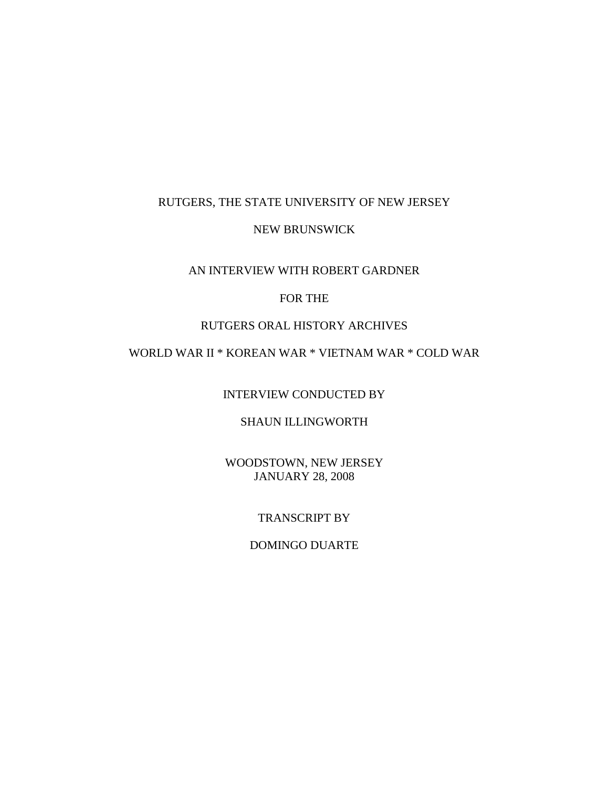## RUTGERS, THE STATE UNIVERSITY OF NEW JERSEY

### NEW BRUNSWICK

### AN INTERVIEW WITH ROBERT GARDNER

## FOR THE

# RUTGERS ORAL HISTORY ARCHIVES

# WORLD WAR II \* KOREAN WAR \* VIETNAM WAR \* COLD WAR

INTERVIEW CONDUCTED BY

# SHAUN ILLINGWORTH

WOODSTOWN, NEW JERSEY JANUARY 28, 2008

# TRANSCRIPT BY

### DOMINGO DUARTE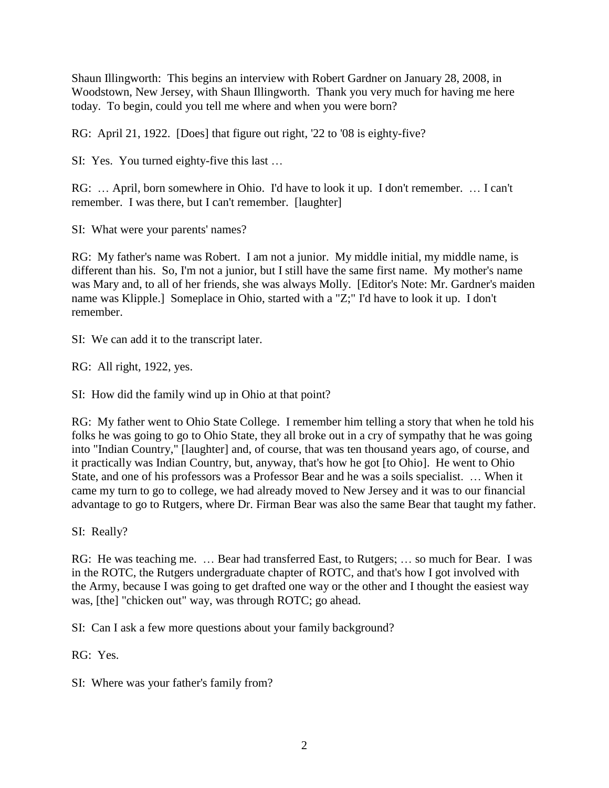Shaun Illingworth: This begins an interview with Robert Gardner on January 28, 2008, in Woodstown, New Jersey, with Shaun Illingworth. Thank you very much for having me here today. To begin, could you tell me where and when you were born?

RG: April 21, 1922. [Does] that figure out right, '22 to '08 is eighty-five?

SI: Yes. You turned eighty-five this last …

RG: … April, born somewhere in Ohio. I'd have to look it up. I don't remember. … I can't remember. I was there, but I can't remember. [laughter]

SI: What were your parents' names?

RG: My father's name was Robert. I am not a junior. My middle initial, my middle name, is different than his. So, I'm not a junior, but I still have the same first name. My mother's name was Mary and, to all of her friends, she was always Molly. [Editor's Note: Mr. Gardner's maiden name was Klipple.] Someplace in Ohio, started with a "Z;" I'd have to look it up. I don't remember.

SI: We can add it to the transcript later.

RG: All right, 1922, yes.

SI: How did the family wind up in Ohio at that point?

RG: My father went to Ohio State College. I remember him telling a story that when he told his folks he was going to go to Ohio State, they all broke out in a cry of sympathy that he was going into "Indian Country," [laughter] and, of course, that was ten thousand years ago, of course, and it practically was Indian Country, but, anyway, that's how he got [to Ohio]. He went to Ohio State, and one of his professors was a Professor Bear and he was a soils specialist. … When it came my turn to go to college, we had already moved to New Jersey and it was to our financial advantage to go to Rutgers, where Dr. Firman Bear was also the same Bear that taught my father.

SI: Really?

RG: He was teaching me. … Bear had transferred East, to Rutgers; … so much for Bear. I was in the ROTC, the Rutgers undergraduate chapter of ROTC, and that's how I got involved with the Army, because I was going to get drafted one way or the other and I thought the easiest way was, [the] "chicken out" way, was through ROTC; go ahead.

SI: Can I ask a few more questions about your family background?

RG: Yes.

SI: Where was your father's family from?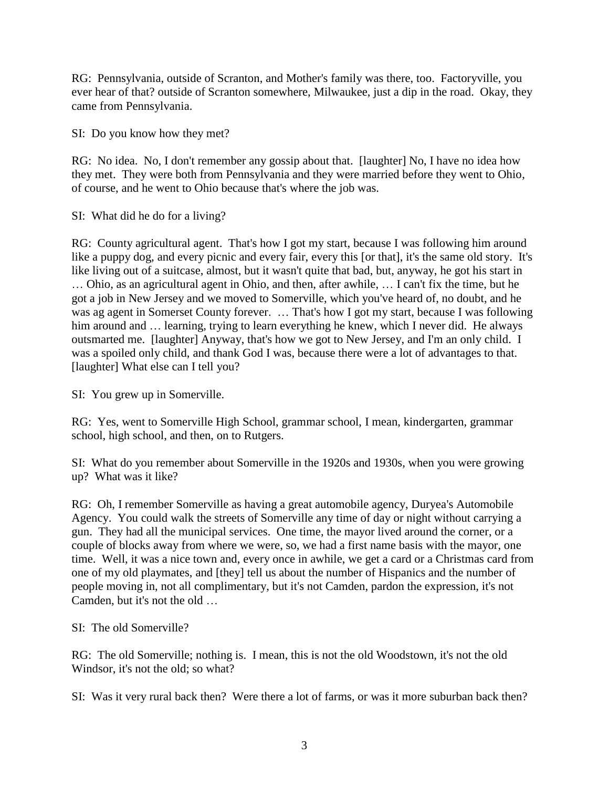RG: Pennsylvania, outside of Scranton, and Mother's family was there, too. Factoryville, you ever hear of that? outside of Scranton somewhere, Milwaukee, just a dip in the road. Okay, they came from Pennsylvania.

SI: Do you know how they met?

RG: No idea. No, I don't remember any gossip about that. [laughter] No, I have no idea how they met. They were both from Pennsylvania and they were married before they went to Ohio, of course, and he went to Ohio because that's where the job was.

SI: What did he do for a living?

RG: County agricultural agent. That's how I got my start, because I was following him around like a puppy dog, and every picnic and every fair, every this [or that], it's the same old story. It's like living out of a suitcase, almost, but it wasn't quite that bad, but, anyway, he got his start in … Ohio, as an agricultural agent in Ohio, and then, after awhile, … I can't fix the time, but he got a job in New Jersey and we moved to Somerville, which you've heard of, no doubt, and he was ag agent in Somerset County forever. … That's how I got my start, because I was following him around and ... learning, trying to learn everything he knew, which I never did. He always outsmarted me. [laughter] Anyway, that's how we got to New Jersey, and I'm an only child. I was a spoiled only child, and thank God I was, because there were a lot of advantages to that. [laughter] What else can I tell you?

SI: You grew up in Somerville.

RG: Yes, went to Somerville High School, grammar school, I mean, kindergarten, grammar school, high school, and then, on to Rutgers.

SI: What do you remember about Somerville in the 1920s and 1930s, when you were growing up? What was it like?

RG: Oh, I remember Somerville as having a great automobile agency, Duryea's Automobile Agency. You could walk the streets of Somerville any time of day or night without carrying a gun. They had all the municipal services. One time, the mayor lived around the corner, or a couple of blocks away from where we were, so, we had a first name basis with the mayor, one time. Well, it was a nice town and, every once in awhile, we get a card or a Christmas card from one of my old playmates, and [they] tell us about the number of Hispanics and the number of people moving in, not all complimentary, but it's not Camden, pardon the expression, it's not Camden, but it's not the old …

### SI: The old Somerville?

RG: The old Somerville; nothing is. I mean, this is not the old Woodstown, it's not the old Windsor, it's not the old; so what?

SI: Was it very rural back then? Were there a lot of farms, or was it more suburban back then?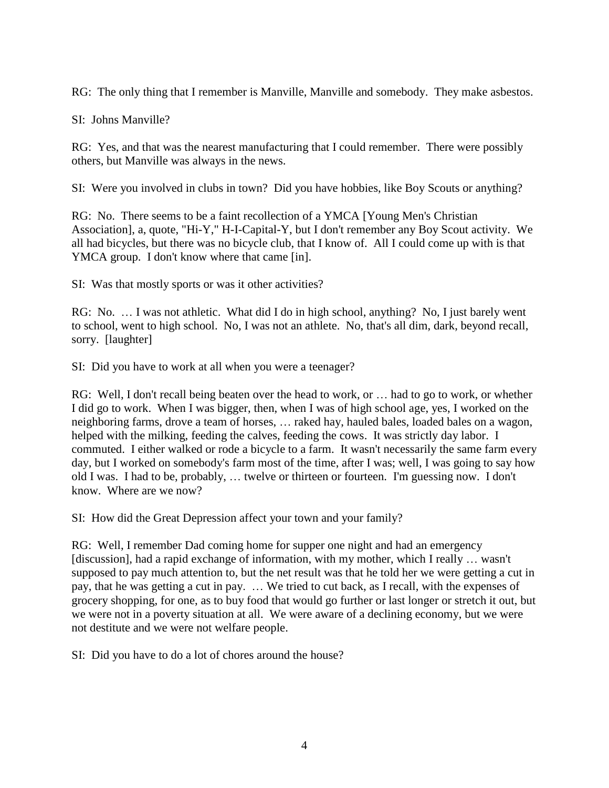RG: The only thing that I remember is Manville, Manville and somebody. They make asbestos.

SI: Johns Manville?

RG: Yes, and that was the nearest manufacturing that I could remember. There were possibly others, but Manville was always in the news.

SI: Were you involved in clubs in town? Did you have hobbies, like Boy Scouts or anything?

RG: No. There seems to be a faint recollection of a YMCA [Young Men's Christian Association], a, quote, "Hi-Y," H-I-Capital-Y, but I don't remember any Boy Scout activity. We all had bicycles, but there was no bicycle club, that I know of. All I could come up with is that YMCA group. I don't know where that came [in].

SI: Was that mostly sports or was it other activities?

RG: No. … I was not athletic. What did I do in high school, anything? No, I just barely went to school, went to high school. No, I was not an athlete. No, that's all dim, dark, beyond recall, sorry. [laughter]

SI: Did you have to work at all when you were a teenager?

RG: Well, I don't recall being beaten over the head to work, or … had to go to work, or whether I did go to work. When I was bigger, then, when I was of high school age, yes, I worked on the neighboring farms, drove a team of horses, … raked hay, hauled bales, loaded bales on a wagon, helped with the milking, feeding the calves, feeding the cows. It was strictly day labor. I commuted. I either walked or rode a bicycle to a farm. It wasn't necessarily the same farm every day, but I worked on somebody's farm most of the time, after I was; well, I was going to say how old I was. I had to be, probably, … twelve or thirteen or fourteen. I'm guessing now. I don't know. Where are we now?

SI: How did the Great Depression affect your town and your family?

RG: Well, I remember Dad coming home for supper one night and had an emergency [discussion], had a rapid exchange of information, with my mother, which I really … wasn't supposed to pay much attention to, but the net result was that he told her we were getting a cut in pay, that he was getting a cut in pay. … We tried to cut back, as I recall, with the expenses of grocery shopping, for one, as to buy food that would go further or last longer or stretch it out, but we were not in a poverty situation at all. We were aware of a declining economy, but we were not destitute and we were not welfare people.

SI: Did you have to do a lot of chores around the house?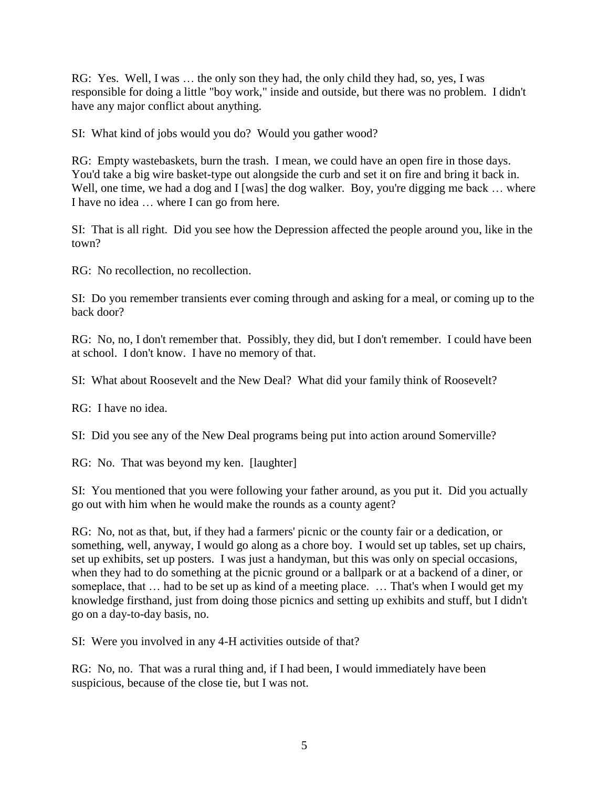RG: Yes. Well, I was … the only son they had, the only child they had, so, yes, I was responsible for doing a little "boy work," inside and outside, but there was no problem. I didn't have any major conflict about anything.

SI: What kind of jobs would you do? Would you gather wood?

RG: Empty wastebaskets, burn the trash. I mean, we could have an open fire in those days. You'd take a big wire basket-type out alongside the curb and set it on fire and bring it back in. Well, one time, we had a dog and I [was] the dog walker. Boy, you're digging me back ... where I have no idea … where I can go from here.

SI: That is all right. Did you see how the Depression affected the people around you, like in the town?

RG: No recollection, no recollection.

SI: Do you remember transients ever coming through and asking for a meal, or coming up to the back door?

RG: No, no, I don't remember that. Possibly, they did, but I don't remember. I could have been at school. I don't know. I have no memory of that.

SI: What about Roosevelt and the New Deal? What did your family think of Roosevelt?

RG: I have no idea.

SI: Did you see any of the New Deal programs being put into action around Somerville?

RG: No. That was beyond my ken. [laughter]

SI: You mentioned that you were following your father around, as you put it. Did you actually go out with him when he would make the rounds as a county agent?

RG: No, not as that, but, if they had a farmers' picnic or the county fair or a dedication, or something, well, anyway, I would go along as a chore boy. I would set up tables, set up chairs, set up exhibits, set up posters. I was just a handyman, but this was only on special occasions, when they had to do something at the picnic ground or a ballpark or at a backend of a diner, or someplace, that … had to be set up as kind of a meeting place. … That's when I would get my knowledge firsthand, just from doing those picnics and setting up exhibits and stuff, but I didn't go on a day-to-day basis, no.

SI: Were you involved in any 4-H activities outside of that?

RG: No, no. That was a rural thing and, if I had been, I would immediately have been suspicious, because of the close tie, but I was not.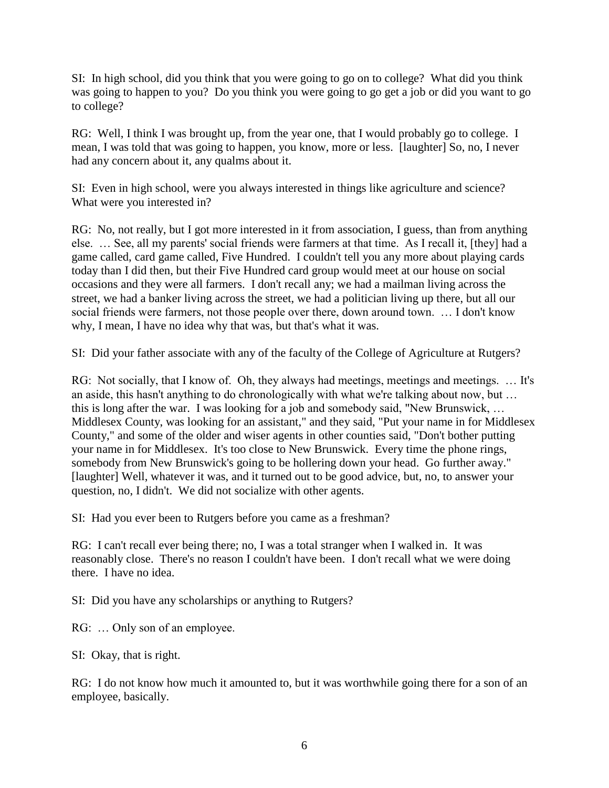SI: In high school, did you think that you were going to go on to college? What did you think was going to happen to you? Do you think you were going to go get a job or did you want to go to college?

RG: Well, I think I was brought up, from the year one, that I would probably go to college. I mean, I was told that was going to happen, you know, more or less. [laughter] So, no, I never had any concern about it, any qualms about it.

SI: Even in high school, were you always interested in things like agriculture and science? What were you interested in?

RG: No, not really, but I got more interested in it from association, I guess, than from anything else. … See, all my parents' social friends were farmers at that time. As I recall it, [they] had a game called, card game called, Five Hundred. I couldn't tell you any more about playing cards today than I did then, but their Five Hundred card group would meet at our house on social occasions and they were all farmers. I don't recall any; we had a mailman living across the street, we had a banker living across the street, we had a politician living up there, but all our social friends were farmers, not those people over there, down around town. … I don't know why, I mean, I have no idea why that was, but that's what it was.

SI: Did your father associate with any of the faculty of the College of Agriculture at Rutgers?

RG: Not socially, that I know of. Oh, they always had meetings, meetings and meetings. … It's an aside, this hasn't anything to do chronologically with what we're talking about now, but … this is long after the war. I was looking for a job and somebody said, "New Brunswick, … Middlesex County, was looking for an assistant," and they said, "Put your name in for Middlesex County," and some of the older and wiser agents in other counties said, "Don't bother putting your name in for Middlesex. It's too close to New Brunswick. Every time the phone rings, somebody from New Brunswick's going to be hollering down your head. Go further away." [laughter] Well, whatever it was, and it turned out to be good advice, but, no, to answer your question, no, I didn't. We did not socialize with other agents.

SI: Had you ever been to Rutgers before you came as a freshman?

RG: I can't recall ever being there; no, I was a total stranger when I walked in. It was reasonably close. There's no reason I couldn't have been. I don't recall what we were doing there. I have no idea.

SI: Did you have any scholarships or anything to Rutgers?

RG: … Only son of an employee.

SI: Okay, that is right.

RG: I do not know how much it amounted to, but it was worthwhile going there for a son of an employee, basically.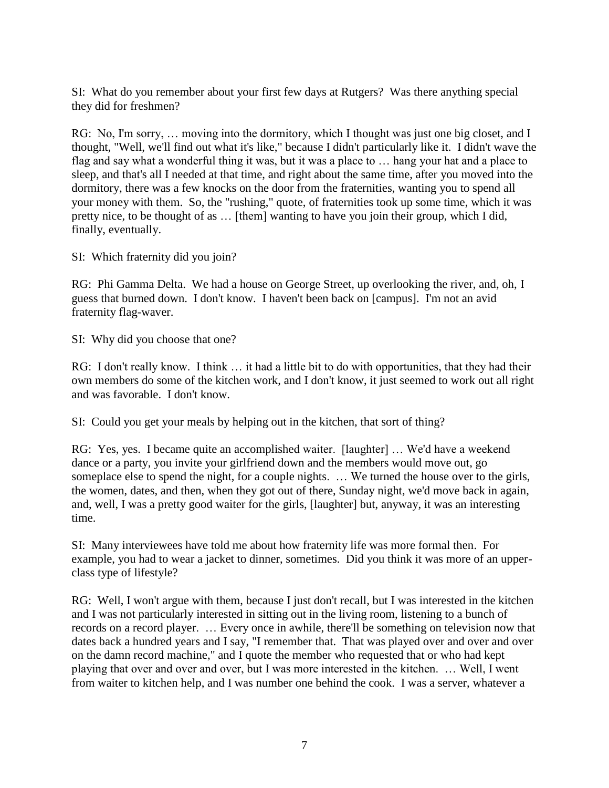SI: What do you remember about your first few days at Rutgers? Was there anything special they did for freshmen?

RG: No, I'm sorry, … moving into the dormitory, which I thought was just one big closet, and I thought, "Well, we'll find out what it's like," because I didn't particularly like it. I didn't wave the flag and say what a wonderful thing it was, but it was a place to … hang your hat and a place to sleep, and that's all I needed at that time, and right about the same time, after you moved into the dormitory, there was a few knocks on the door from the fraternities, wanting you to spend all your money with them. So, the "rushing," quote, of fraternities took up some time, which it was pretty nice, to be thought of as … [them] wanting to have you join their group, which I did, finally, eventually.

SI: Which fraternity did you join?

RG: Phi Gamma Delta. We had a house on George Street, up overlooking the river, and, oh, I guess that burned down. I don't know. I haven't been back on [campus]. I'm not an avid fraternity flag-waver.

SI: Why did you choose that one?

RG: I don't really know. I think … it had a little bit to do with opportunities, that they had their own members do some of the kitchen work, and I don't know, it just seemed to work out all right and was favorable. I don't know.

SI: Could you get your meals by helping out in the kitchen, that sort of thing?

RG: Yes, yes. I became quite an accomplished waiter. [laughter] … We'd have a weekend dance or a party, you invite your girlfriend down and the members would move out, go someplace else to spend the night, for a couple nights. … We turned the house over to the girls, the women, dates, and then, when they got out of there, Sunday night, we'd move back in again, and, well, I was a pretty good waiter for the girls, [laughter] but, anyway, it was an interesting time.

SI: Many interviewees have told me about how fraternity life was more formal then. For example, you had to wear a jacket to dinner, sometimes. Did you think it was more of an upperclass type of lifestyle?

RG: Well, I won't argue with them, because I just don't recall, but I was interested in the kitchen and I was not particularly interested in sitting out in the living room, listening to a bunch of records on a record player. … Every once in awhile, there'll be something on television now that dates back a hundred years and I say, "I remember that. That was played over and over and over on the damn record machine," and I quote the member who requested that or who had kept playing that over and over and over, but I was more interested in the kitchen. … Well, I went from waiter to kitchen help, and I was number one behind the cook. I was a server, whatever a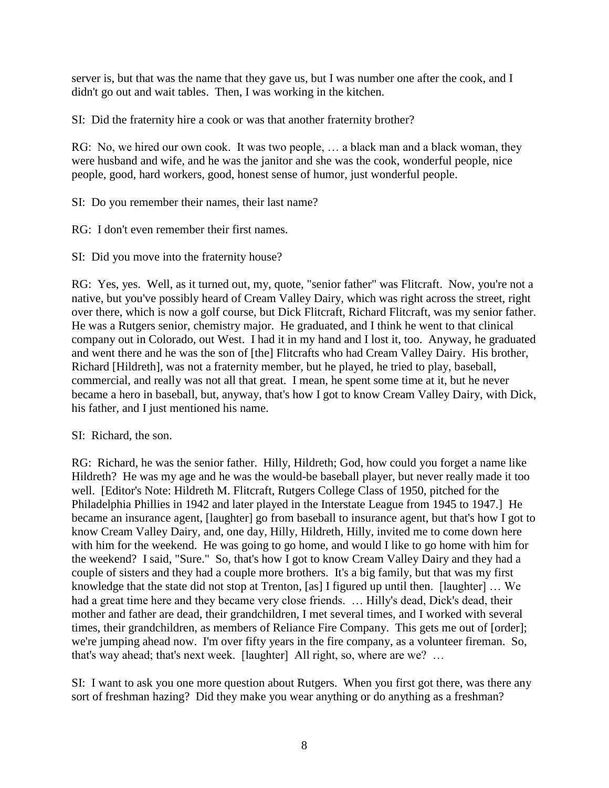server is, but that was the name that they gave us, but I was number one after the cook, and I didn't go out and wait tables. Then, I was working in the kitchen.

SI: Did the fraternity hire a cook or was that another fraternity brother?

RG: No, we hired our own cook. It was two people, … a black man and a black woman, they were husband and wife, and he was the janitor and she was the cook, wonderful people, nice people, good, hard workers, good, honest sense of humor, just wonderful people.

SI: Do you remember their names, their last name?

RG: I don't even remember their first names.

SI: Did you move into the fraternity house?

RG: Yes, yes. Well, as it turned out, my, quote, "senior father" was Flitcraft. Now, you're not a native, but you've possibly heard of Cream Valley Dairy, which was right across the street, right over there, which is now a golf course, but Dick Flitcraft, Richard Flitcraft, was my senior father. He was a Rutgers senior, chemistry major. He graduated, and I think he went to that clinical company out in Colorado, out West. I had it in my hand and I lost it, too. Anyway, he graduated and went there and he was the son of [the] Flitcrafts who had Cream Valley Dairy. His brother, Richard [Hildreth], was not a fraternity member, but he played, he tried to play, baseball, commercial, and really was not all that great. I mean, he spent some time at it, but he never became a hero in baseball, but, anyway, that's how I got to know Cream Valley Dairy, with Dick, his father, and I just mentioned his name.

SI: Richard, the son.

RG: Richard, he was the senior father. Hilly, Hildreth; God, how could you forget a name like Hildreth? He was my age and he was the would-be baseball player, but never really made it too well. [Editor's Note: Hildreth M. Flitcraft, Rutgers College Class of 1950, pitched for the Philadelphia Phillies in 1942 and later played in the Interstate League from 1945 to 1947.] He became an insurance agent, [laughter] go from baseball to insurance agent, but that's how I got to know Cream Valley Dairy, and, one day, Hilly, Hildreth, Hilly, invited me to come down here with him for the weekend. He was going to go home, and would I like to go home with him for the weekend? I said, "Sure." So, that's how I got to know Cream Valley Dairy and they had a couple of sisters and they had a couple more brothers. It's a big family, but that was my first knowledge that the state did not stop at Trenton, [as] I figured up until then. [laughter] … We had a great time here and they became very close friends. ... Hilly's dead, Dick's dead, their mother and father are dead, their grandchildren, I met several times, and I worked with several times, their grandchildren, as members of Reliance Fire Company. This gets me out of [order]; we're jumping ahead now. I'm over fifty years in the fire company, as a volunteer fireman. So, that's way ahead; that's next week. [laughter] All right, so, where are we? …

SI: I want to ask you one more question about Rutgers. When you first got there, was there any sort of freshman hazing? Did they make you wear anything or do anything as a freshman?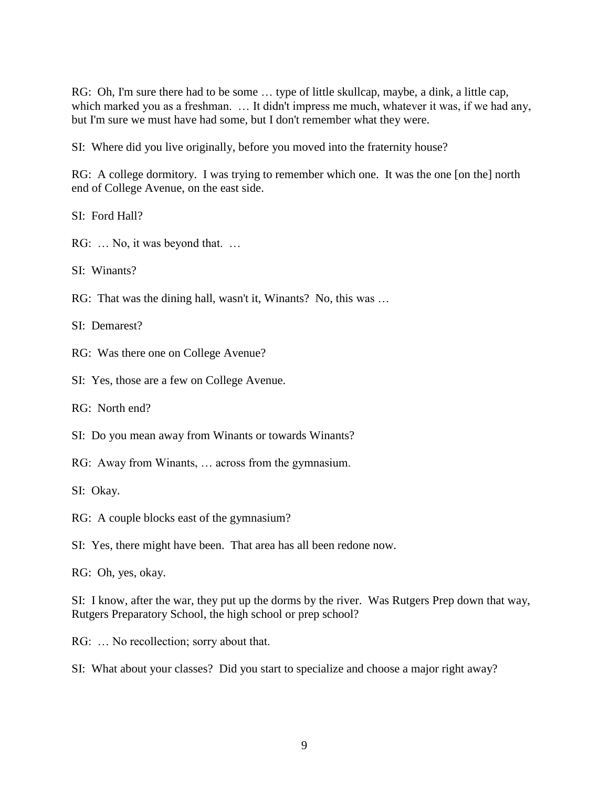RG: Oh, I'm sure there had to be some … type of little skullcap, maybe, a dink, a little cap, which marked you as a freshman. … It didn't impress me much, whatever it was, if we had any, but I'm sure we must have had some, but I don't remember what they were.

SI: Where did you live originally, before you moved into the fraternity house?

RG: A college dormitory. I was trying to remember which one. It was the one [on the] north end of College Avenue, on the east side.

SI: Ford Hall?

RG: … No, it was beyond that. …

SI: Winants?

RG: That was the dining hall, wasn't it, Winants? No, this was …

SI: Demarest?

RG: Was there one on College Avenue?

SI: Yes, those are a few on College Avenue.

RG: North end?

SI: Do you mean away from Winants or towards Winants?

RG: Away from Winants, … across from the gymnasium.

SI: Okay.

RG: A couple blocks east of the gymnasium?

SI: Yes, there might have been. That area has all been redone now.

RG: Oh, yes, okay.

SI: I know, after the war, they put up the dorms by the river. Was Rutgers Prep down that way, Rutgers Preparatory School, the high school or prep school?

RG: … No recollection; sorry about that.

SI: What about your classes? Did you start to specialize and choose a major right away?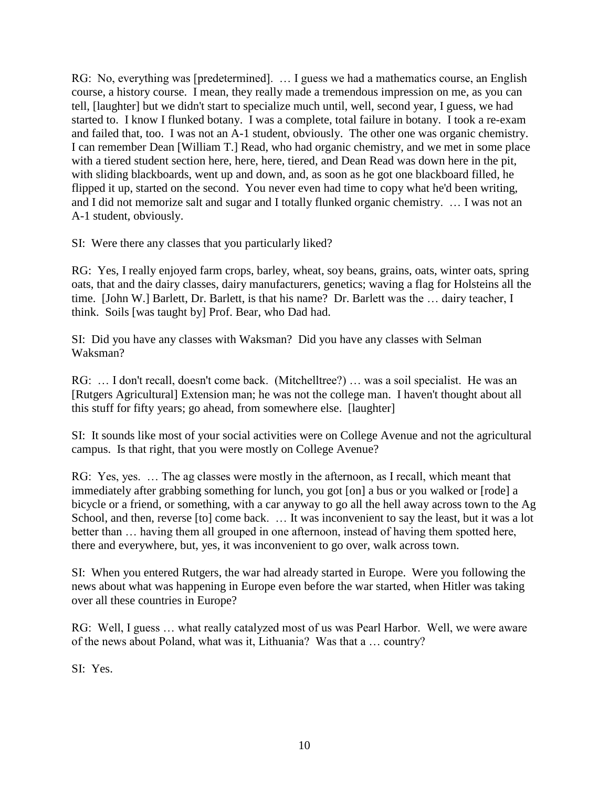RG: No, everything was [predetermined]. … I guess we had a mathematics course, an English course, a history course. I mean, they really made a tremendous impression on me, as you can tell, [laughter] but we didn't start to specialize much until, well, second year, I guess, we had started to. I know I flunked botany. I was a complete, total failure in botany. I took a re-exam and failed that, too. I was not an A-1 student, obviously. The other one was organic chemistry. I can remember Dean [William T.] Read, who had organic chemistry, and we met in some place with a tiered student section here, here, here, tiered, and Dean Read was down here in the pit, with sliding blackboards, went up and down, and, as soon as he got one blackboard filled, he flipped it up, started on the second. You never even had time to copy what he'd been writing, and I did not memorize salt and sugar and I totally flunked organic chemistry. … I was not an A-1 student, obviously.

SI: Were there any classes that you particularly liked?

RG: Yes, I really enjoyed farm crops, barley, wheat, soy beans, grains, oats, winter oats, spring oats, that and the dairy classes, dairy manufacturers, genetics; waving a flag for Holsteins all the time. [John W.] Barlett, Dr. Barlett, is that his name? Dr. Barlett was the … dairy teacher, I think. Soils [was taught by] Prof. Bear, who Dad had.

SI: Did you have any classes with Waksman? Did you have any classes with Selman Waksman?

RG: … I don't recall, doesn't come back. (Mitchelltree?) … was a soil specialist. He was an [Rutgers Agricultural] Extension man; he was not the college man. I haven't thought about all this stuff for fifty years; go ahead, from somewhere else. [laughter]

SI: It sounds like most of your social activities were on College Avenue and not the agricultural campus. Is that right, that you were mostly on College Avenue?

RG: Yes, yes. … The ag classes were mostly in the afternoon, as I recall, which meant that immediately after grabbing something for lunch, you got [on] a bus or you walked or [rode] a bicycle or a friend, or something, with a car anyway to go all the hell away across town to the Ag School, and then, reverse [to] come back. ... It was inconvenient to say the least, but it was a lot better than … having them all grouped in one afternoon, instead of having them spotted here, there and everywhere, but, yes, it was inconvenient to go over, walk across town.

SI: When you entered Rutgers, the war had already started in Europe. Were you following the news about what was happening in Europe even before the war started, when Hitler was taking over all these countries in Europe?

RG: Well, I guess … what really catalyzed most of us was Pearl Harbor. Well, we were aware of the news about Poland, what was it, Lithuania? Was that a … country?

SI: Yes.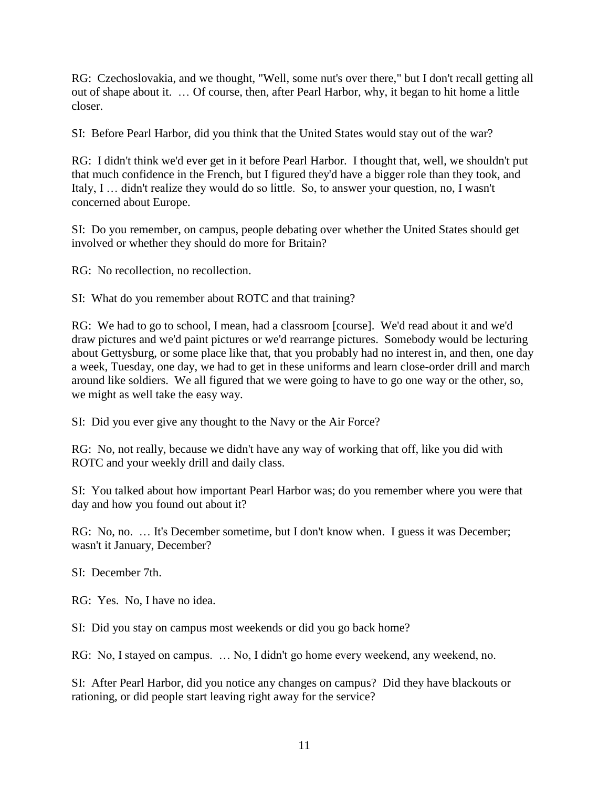RG: Czechoslovakia, and we thought, "Well, some nut's over there," but I don't recall getting all out of shape about it. … Of course, then, after Pearl Harbor, why, it began to hit home a little closer.

SI: Before Pearl Harbor, did you think that the United States would stay out of the war?

RG: I didn't think we'd ever get in it before Pearl Harbor. I thought that, well, we shouldn't put that much confidence in the French, but I figured they'd have a bigger role than they took, and Italy, I … didn't realize they would do so little. So, to answer your question, no, I wasn't concerned about Europe.

SI: Do you remember, on campus, people debating over whether the United States should get involved or whether they should do more for Britain?

RG: No recollection, no recollection.

SI: What do you remember about ROTC and that training?

RG: We had to go to school, I mean, had a classroom [course]. We'd read about it and we'd draw pictures and we'd paint pictures or we'd rearrange pictures. Somebody would be lecturing about Gettysburg, or some place like that, that you probably had no interest in, and then, one day a week, Tuesday, one day, we had to get in these uniforms and learn close-order drill and march around like soldiers. We all figured that we were going to have to go one way or the other, so, we might as well take the easy way.

SI: Did you ever give any thought to the Navy or the Air Force?

RG: No, not really, because we didn't have any way of working that off, like you did with ROTC and your weekly drill and daily class.

SI: You talked about how important Pearl Harbor was; do you remember where you were that day and how you found out about it?

RG: No, no. … It's December sometime, but I don't know when. I guess it was December; wasn't it January, December?

SI: December 7th.

RG: Yes. No, I have no idea.

SI: Did you stay on campus most weekends or did you go back home?

RG: No, I stayed on campus. … No, I didn't go home every weekend, any weekend, no.

SI: After Pearl Harbor, did you notice any changes on campus? Did they have blackouts or rationing, or did people start leaving right away for the service?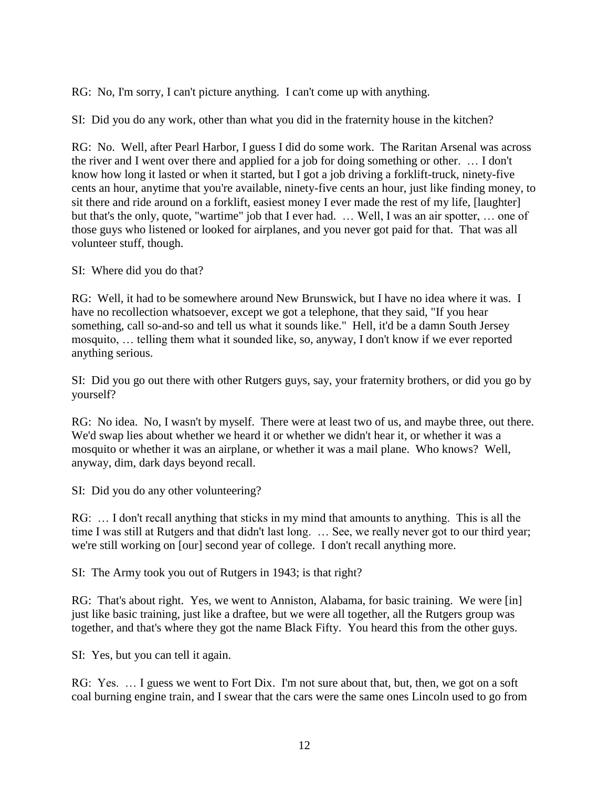RG: No, I'm sorry, I can't picture anything. I can't come up with anything.

SI: Did you do any work, other than what you did in the fraternity house in the kitchen?

RG: No. Well, after Pearl Harbor, I guess I did do some work. The Raritan Arsenal was across the river and I went over there and applied for a job for doing something or other. … I don't know how long it lasted or when it started, but I got a job driving a forklift-truck, ninety-five cents an hour, anytime that you're available, ninety-five cents an hour, just like finding money, to sit there and ride around on a forklift, easiest money I ever made the rest of my life, [laughter] but that's the only, quote, "wartime" job that I ever had. … Well, I was an air spotter, … one of those guys who listened or looked for airplanes, and you never got paid for that. That was all volunteer stuff, though.

SI: Where did you do that?

RG: Well, it had to be somewhere around New Brunswick, but I have no idea where it was. I have no recollection whatsoever, except we got a telephone, that they said, "If you hear something, call so-and-so and tell us what it sounds like." Hell, it'd be a damn South Jersey mosquito, … telling them what it sounded like, so, anyway, I don't know if we ever reported anything serious.

SI: Did you go out there with other Rutgers guys, say, your fraternity brothers, or did you go by yourself?

RG: No idea. No, I wasn't by myself. There were at least two of us, and maybe three, out there. We'd swap lies about whether we heard it or whether we didn't hear it, or whether it was a mosquito or whether it was an airplane, or whether it was a mail plane. Who knows? Well, anyway, dim, dark days beyond recall.

SI: Did you do any other volunteering?

RG: … I don't recall anything that sticks in my mind that amounts to anything. This is all the time I was still at Rutgers and that didn't last long. … See, we really never got to our third year; we're still working on [our] second year of college. I don't recall anything more.

SI: The Army took you out of Rutgers in 1943; is that right?

RG: That's about right. Yes, we went to Anniston, Alabama, for basic training. We were [in] just like basic training, just like a draftee, but we were all together, all the Rutgers group was together, and that's where they got the name Black Fifty. You heard this from the other guys.

SI: Yes, but you can tell it again.

RG: Yes. … I guess we went to Fort Dix. I'm not sure about that, but, then, we got on a soft coal burning engine train, and I swear that the cars were the same ones Lincoln used to go from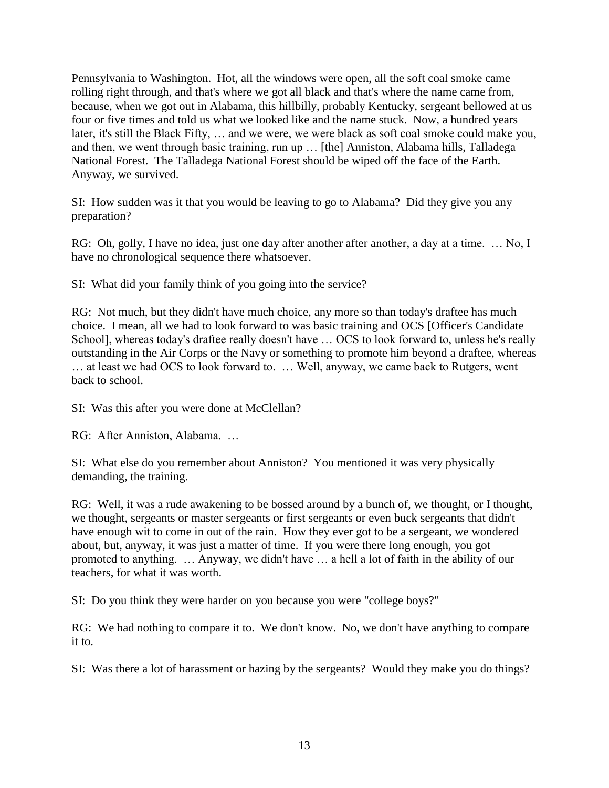Pennsylvania to Washington. Hot, all the windows were open, all the soft coal smoke came rolling right through, and that's where we got all black and that's where the name came from, because, when we got out in Alabama, this hillbilly, probably Kentucky, sergeant bellowed at us four or five times and told us what we looked like and the name stuck. Now, a hundred years later, it's still the Black Fifty, … and we were, we were black as soft coal smoke could make you, and then, we went through basic training, run up … [the] Anniston, Alabama hills, Talladega National Forest. The Talladega National Forest should be wiped off the face of the Earth. Anyway, we survived.

SI: How sudden was it that you would be leaving to go to Alabama? Did they give you any preparation?

RG: Oh, golly, I have no idea, just one day after another after another, a day at a time. ... No, I have no chronological sequence there whatsoever.

SI: What did your family think of you going into the service?

RG: Not much, but they didn't have much choice, any more so than today's draftee has much choice. I mean, all we had to look forward to was basic training and OCS [Officer's Candidate School], whereas today's draftee really doesn't have … OCS to look forward to, unless he's really outstanding in the Air Corps or the Navy or something to promote him beyond a draftee, whereas … at least we had OCS to look forward to. … Well, anyway, we came back to Rutgers, went back to school.

SI: Was this after you were done at McClellan?

RG: After Anniston, Alabama. …

SI: What else do you remember about Anniston? You mentioned it was very physically demanding, the training.

RG: Well, it was a rude awakening to be bossed around by a bunch of, we thought, or I thought, we thought, sergeants or master sergeants or first sergeants or even buck sergeants that didn't have enough wit to come in out of the rain. How they ever got to be a sergeant, we wondered about, but, anyway, it was just a matter of time. If you were there long enough, you got promoted to anything. … Anyway, we didn't have … a hell a lot of faith in the ability of our teachers, for what it was worth.

SI: Do you think they were harder on you because you were "college boys?"

RG: We had nothing to compare it to. We don't know. No, we don't have anything to compare it to.

SI: Was there a lot of harassment or hazing by the sergeants? Would they make you do things?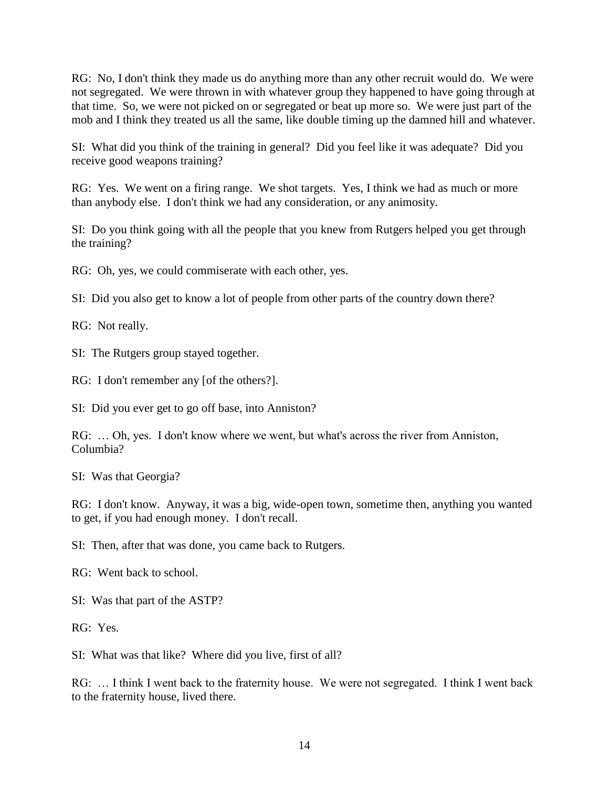RG: No, I don't think they made us do anything more than any other recruit would do. We were not segregated. We were thrown in with whatever group they happened to have going through at that time. So, we were not picked on or segregated or beat up more so. We were just part of the mob and I think they treated us all the same, like double timing up the damned hill and whatever.

SI: What did you think of the training in general? Did you feel like it was adequate? Did you receive good weapons training?

RG: Yes. We went on a firing range. We shot targets. Yes, I think we had as much or more than anybody else. I don't think we had any consideration, or any animosity.

SI: Do you think going with all the people that you knew from Rutgers helped you get through the training?

RG: Oh, yes, we could commiserate with each other, yes.

SI: Did you also get to know a lot of people from other parts of the country down there?

RG: Not really.

SI: The Rutgers group stayed together.

RG: I don't remember any [of the others?].

SI: Did you ever get to go off base, into Anniston?

RG: … Oh, yes. I don't know where we went, but what's across the river from Anniston, Columbia?

SI: Was that Georgia?

RG: I don't know. Anyway, it was a big, wide-open town, sometime then, anything you wanted to get, if you had enough money. I don't recall.

SI: Then, after that was done, you came back to Rutgers.

RG: Went back to school.

SI: Was that part of the ASTP?

RG: Yes.

SI: What was that like? Where did you live, first of all?

RG: … I think I went back to the fraternity house. We were not segregated. I think I went back to the fraternity house, lived there.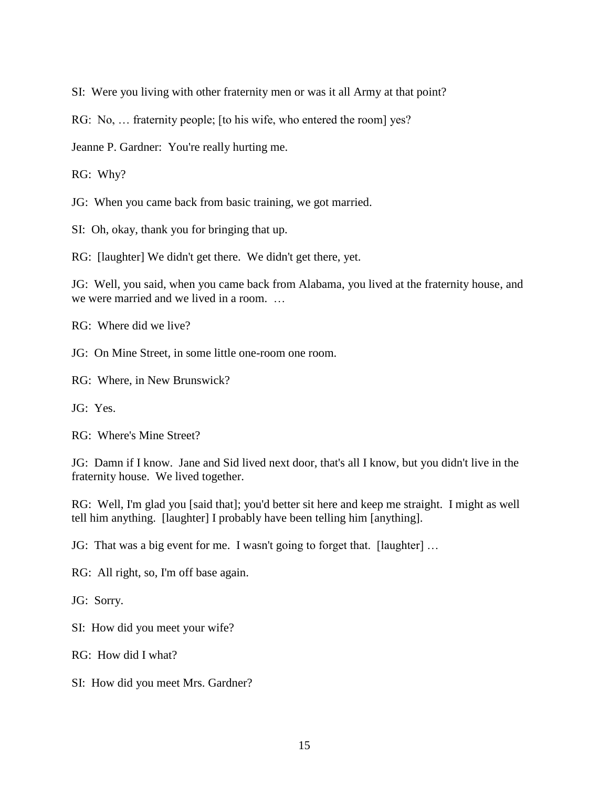SI: Were you living with other fraternity men or was it all Army at that point?

RG: No, … fraternity people; [to his wife, who entered the room] yes?

Jeanne P. Gardner: You're really hurting me.

RG: Why?

JG: When you came back from basic training, we got married.

SI: Oh, okay, thank you for bringing that up.

RG: [laughter] We didn't get there. We didn't get there, yet.

JG: Well, you said, when you came back from Alabama, you lived at the fraternity house, and we were married and we lived in a room. …

RG: Where did we live?

JG: On Mine Street, in some little one-room one room.

RG: Where, in New Brunswick?

JG: Yes.

RG: Where's Mine Street?

JG: Damn if I know. Jane and Sid lived next door, that's all I know, but you didn't live in the fraternity house. We lived together.

RG: Well, I'm glad you [said that]; you'd better sit here and keep me straight. I might as well tell him anything. [laughter] I probably have been telling him [anything].

JG: That was a big event for me. I wasn't going to forget that. [laughter] …

RG: All right, so, I'm off base again.

JG: Sorry.

SI: How did you meet your wife?

RG: How did I what?

SI: How did you meet Mrs. Gardner?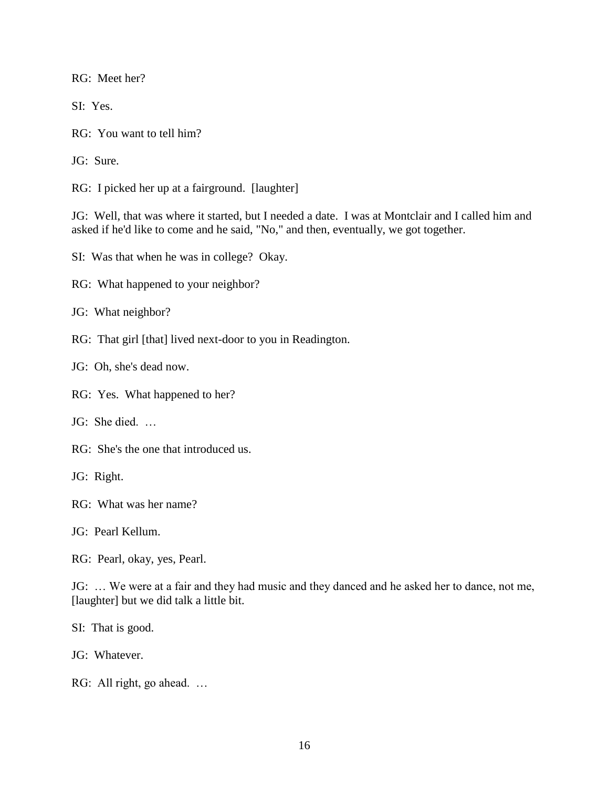RG: Meet her?

SI: Yes.

RG: You want to tell him?

JG: Sure.

RG: I picked her up at a fairground. [laughter]

JG: Well, that was where it started, but I needed a date. I was at Montclair and I called him and asked if he'd like to come and he said, "No," and then, eventually, we got together.

SI: Was that when he was in college? Okay.

RG: What happened to your neighbor?

JG: What neighbor?

RG: That girl [that] lived next-door to you in Readington.

JG: Oh, she's dead now.

RG: Yes. What happened to her?

JG: She died. …

RG: She's the one that introduced us.

JG: Right.

RG: What was her name?

JG: Pearl Kellum.

RG: Pearl, okay, yes, Pearl.

JG: … We were at a fair and they had music and they danced and he asked her to dance, not me, [laughter] but we did talk a little bit.

SI: That is good.

JG: Whatever.

RG: All right, go ahead. …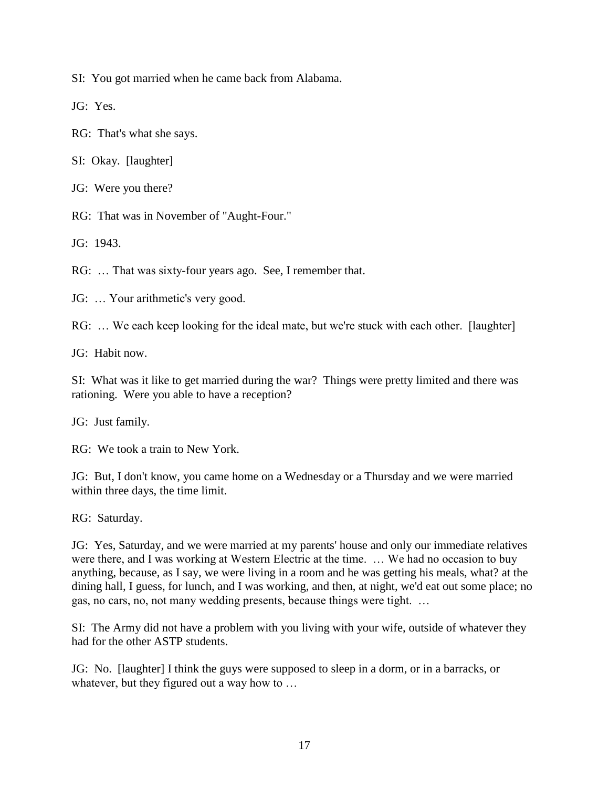SI: You got married when he came back from Alabama.

JG: Yes.

RG: That's what she says.

SI: Okay. [laughter]

JG: Were you there?

RG: That was in November of "Aught-Four."

JG: 1943.

RG: … That was sixty-four years ago. See, I remember that.

JG: … Your arithmetic's very good.

RG: … We each keep looking for the ideal mate, but we're stuck with each other. [laughter]

JG: Habit now.

SI: What was it like to get married during the war? Things were pretty limited and there was rationing. Were you able to have a reception?

JG: Just family.

RG: We took a train to New York.

JG: But, I don't know, you came home on a Wednesday or a Thursday and we were married within three days, the time limit.

RG: Saturday.

JG: Yes, Saturday, and we were married at my parents' house and only our immediate relatives were there, and I was working at Western Electric at the time. … We had no occasion to buy anything, because, as I say, we were living in a room and he was getting his meals, what? at the dining hall, I guess, for lunch, and I was working, and then, at night, we'd eat out some place; no gas, no cars, no, not many wedding presents, because things were tight. …

SI: The Army did not have a problem with you living with your wife, outside of whatever they had for the other ASTP students.

JG: No. [laughter] I think the guys were supposed to sleep in a dorm, or in a barracks, or whatever, but they figured out a way how to ...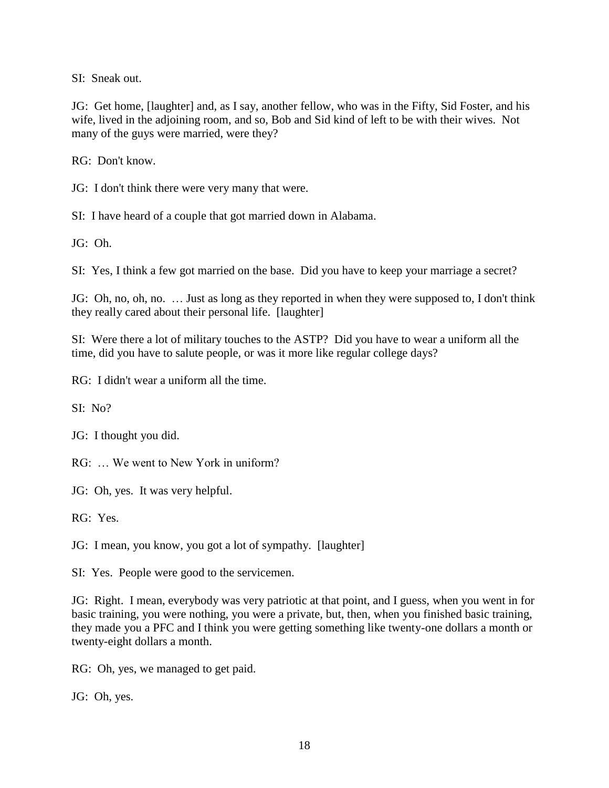SI: Sneak out.

JG: Get home, [laughter] and, as I say, another fellow, who was in the Fifty, Sid Foster, and his wife, lived in the adjoining room, and so, Bob and Sid kind of left to be with their wives. Not many of the guys were married, were they?

RG: Don't know.

JG: I don't think there were very many that were.

SI: I have heard of a couple that got married down in Alabama.

JG: Oh.

SI: Yes, I think a few got married on the base. Did you have to keep your marriage a secret?

JG: Oh, no, oh, no. … Just as long as they reported in when they were supposed to, I don't think they really cared about their personal life. [laughter]

SI: Were there a lot of military touches to the ASTP? Did you have to wear a uniform all the time, did you have to salute people, or was it more like regular college days?

RG: I didn't wear a uniform all the time.

SI: No?

JG: I thought you did.

RG: … We went to New York in uniform?

JG: Oh, yes. It was very helpful.

RG: Yes.

JG: I mean, you know, you got a lot of sympathy. [laughter]

SI: Yes. People were good to the servicemen.

JG: Right. I mean, everybody was very patriotic at that point, and I guess, when you went in for basic training, you were nothing, you were a private, but, then, when you finished basic training, they made you a PFC and I think you were getting something like twenty-one dollars a month or twenty-eight dollars a month.

RG: Oh, yes, we managed to get paid.

JG: Oh, yes.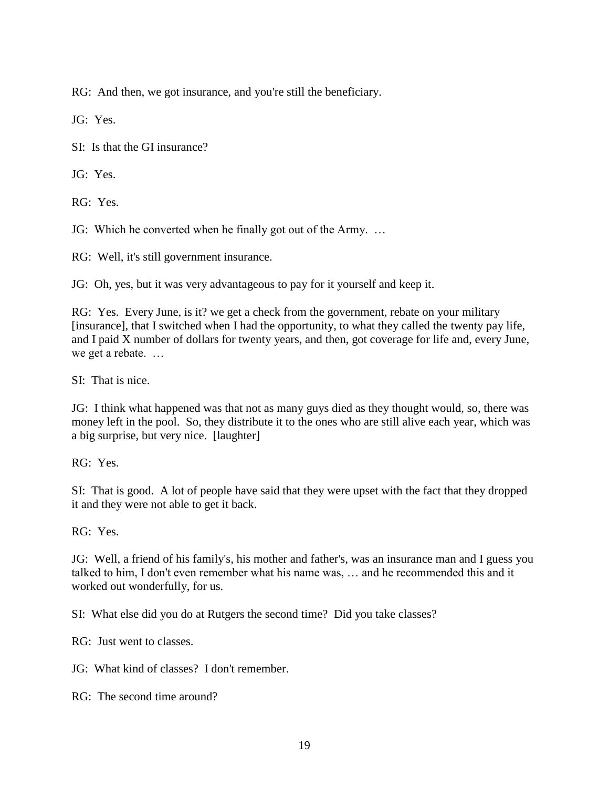RG: And then, we got insurance, and you're still the beneficiary.

JG: Yes.

SI: Is that the GI insurance?

JG: Yes.

RG: Yes.

JG: Which he converted when he finally got out of the Army. …

RG: Well, it's still government insurance.

JG: Oh, yes, but it was very advantageous to pay for it yourself and keep it.

RG: Yes. Every June, is it? we get a check from the government, rebate on your military [insurance], that I switched when I had the opportunity, to what they called the twenty pay life, and I paid X number of dollars for twenty years, and then, got coverage for life and, every June, we get a rebate. …

SI: That is nice.

JG: I think what happened was that not as many guys died as they thought would, so, there was money left in the pool. So, they distribute it to the ones who are still alive each year, which was a big surprise, but very nice. [laughter]

RG: Yes.

SI: That is good. A lot of people have said that they were upset with the fact that they dropped it and they were not able to get it back.

RG: Yes.

JG: Well, a friend of his family's, his mother and father's, was an insurance man and I guess you talked to him, I don't even remember what his name was, … and he recommended this and it worked out wonderfully, for us.

SI: What else did you do at Rutgers the second time? Did you take classes?

RG: Just went to classes.

JG: What kind of classes? I don't remember.

RG: The second time around?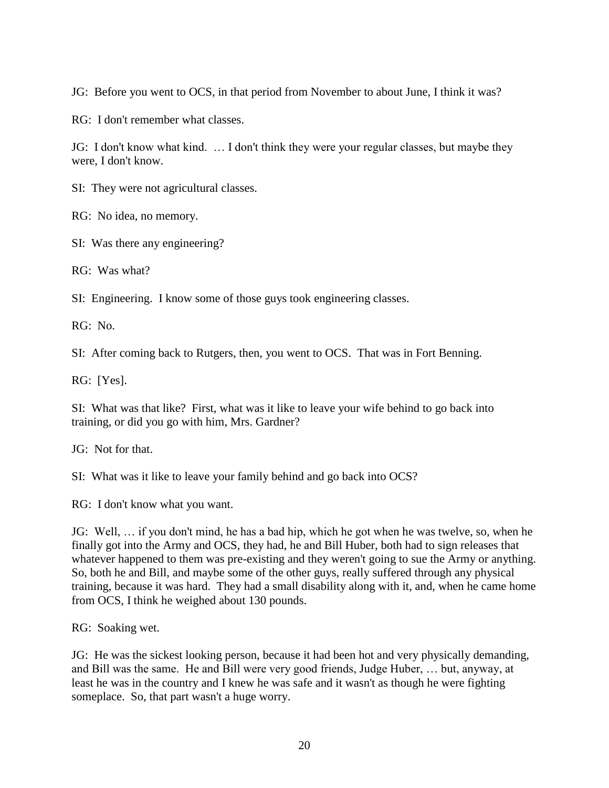JG: Before you went to OCS, in that period from November to about June, I think it was?

RG: I don't remember what classes.

JG: I don't know what kind. … I don't think they were your regular classes, but maybe they were, I don't know.

SI: They were not agricultural classes.

RG: No idea, no memory.

SI: Was there any engineering?

RG: Was what?

SI: Engineering. I know some of those guys took engineering classes.

RG: No.

SI: After coming back to Rutgers, then, you went to OCS. That was in Fort Benning.

RG: [Yes].

SI: What was that like? First, what was it like to leave your wife behind to go back into training, or did you go with him, Mrs. Gardner?

JG: Not for that.

SI: What was it like to leave your family behind and go back into OCS?

RG: I don't know what you want.

JG: Well, … if you don't mind, he has a bad hip, which he got when he was twelve, so, when he finally got into the Army and OCS, they had, he and Bill Huber, both had to sign releases that whatever happened to them was pre-existing and they weren't going to sue the Army or anything. So, both he and Bill, and maybe some of the other guys, really suffered through any physical training, because it was hard. They had a small disability along with it, and, when he came home from OCS, I think he weighed about 130 pounds.

RG: Soaking wet.

JG: He was the sickest looking person, because it had been hot and very physically demanding, and Bill was the same. He and Bill were very good friends, Judge Huber, … but, anyway, at least he was in the country and I knew he was safe and it wasn't as though he were fighting someplace. So, that part wasn't a huge worry.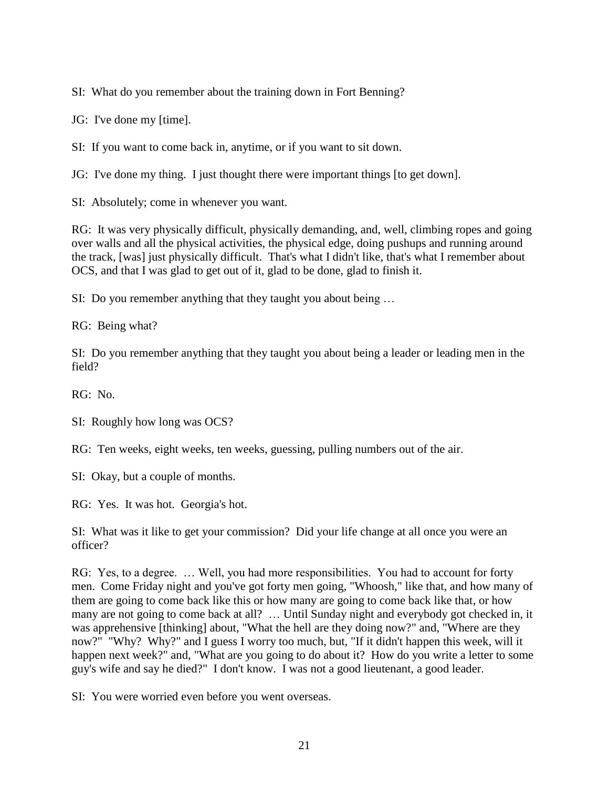SI: What do you remember about the training down in Fort Benning?

JG: I've done my [time].

SI: If you want to come back in, anytime, or if you want to sit down.

JG: I've done my thing. I just thought there were important things [to get down].

SI: Absolutely; come in whenever you want.

RG: It was very physically difficult, physically demanding, and, well, climbing ropes and going over walls and all the physical activities, the physical edge, doing pushups and running around the track, [was] just physically difficult. That's what I didn't like, that's what I remember about OCS, and that I was glad to get out of it, glad to be done, glad to finish it.

SI: Do you remember anything that they taught you about being …

RG: Being what?

SI: Do you remember anything that they taught you about being a leader or leading men in the field?

RG: No.

SI: Roughly how long was OCS?

RG: Ten weeks, eight weeks, ten weeks, guessing, pulling numbers out of the air.

SI: Okay, but a couple of months.

RG: Yes. It was hot. Georgia's hot.

SI: What was it like to get your commission? Did your life change at all once you were an officer?

RG: Yes, to a degree. … Well, you had more responsibilities. You had to account for forty men. Come Friday night and you've got forty men going, "Whoosh," like that, and how many of them are going to come back like this or how many are going to come back like that, or how many are not going to come back at all? … Until Sunday night and everybody got checked in, it was apprehensive [thinking] about, "What the hell are they doing now?" and, "Where are they now?" "Why? Why?" and I guess I worry too much, but, "If it didn't happen this week, will it happen next week?" and, "What are you going to do about it? How do you write a letter to some guy's wife and say he died?" I don't know. I was not a good lieutenant, a good leader.

SI: You were worried even before you went overseas.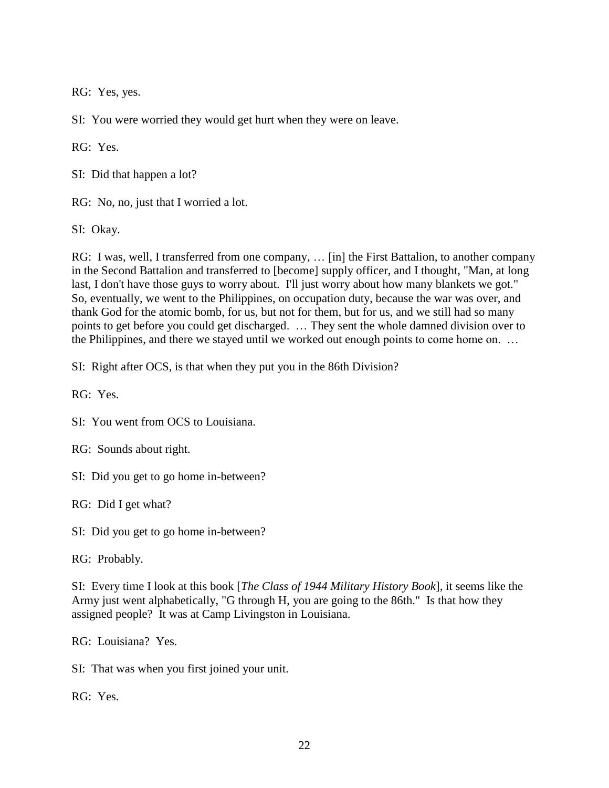RG: Yes, yes.

SI: You were worried they would get hurt when they were on leave.

RG: Yes.

SI: Did that happen a lot?

RG: No, no, just that I worried a lot.

SI: Okay.

RG: I was, well, I transferred from one company, … [in] the First Battalion, to another company in the Second Battalion and transferred to [become] supply officer, and I thought, "Man, at long last, I don't have those guys to worry about. I'll just worry about how many blankets we got." So, eventually, we went to the Philippines, on occupation duty, because the war was over, and thank God for the atomic bomb, for us, but not for them, but for us, and we still had so many points to get before you could get discharged. … They sent the whole damned division over to the Philippines, and there we stayed until we worked out enough points to come home on. …

SI: Right after OCS, is that when they put you in the 86th Division?

RG: Yes.

SI: You went from OCS to Louisiana.

RG: Sounds about right.

SI: Did you get to go home in-between?

RG: Did I get what?

SI: Did you get to go home in-between?

RG: Probably.

SI: Every time I look at this book [*The Class of 1944 Military History Book*], it seems like the Army just went alphabetically, "G through H, you are going to the 86th." Is that how they assigned people? It was at Camp Livingston in Louisiana.

RG: Louisiana? Yes.

SI: That was when you first joined your unit.

RG: Yes.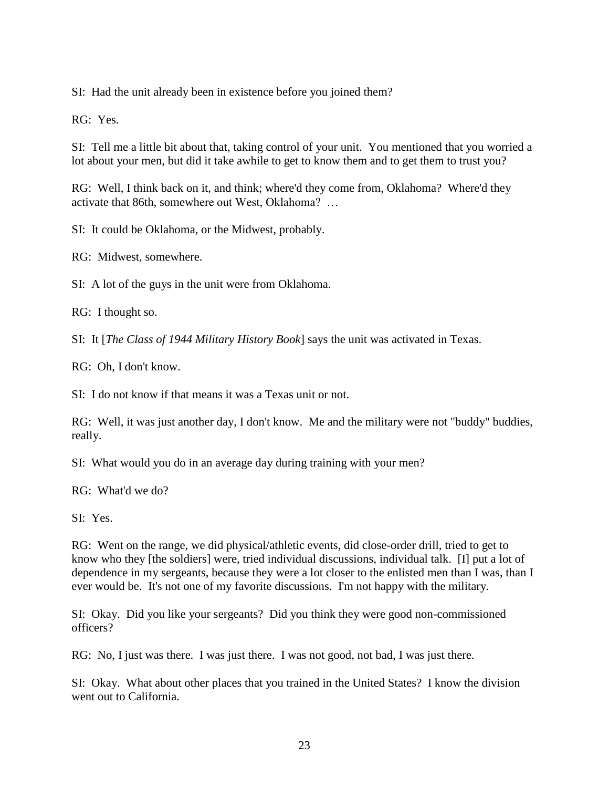SI: Had the unit already been in existence before you joined them?

RG: Yes.

SI: Tell me a little bit about that, taking control of your unit. You mentioned that you worried a lot about your men, but did it take awhile to get to know them and to get them to trust you?

RG: Well, I think back on it, and think; where'd they come from, Oklahoma? Where'd they activate that 86th, somewhere out West, Oklahoma? …

SI: It could be Oklahoma, or the Midwest, probably.

RG: Midwest, somewhere.

SI: A lot of the guys in the unit were from Oklahoma.

RG: I thought so.

SI: It [*The Class of 1944 Military History Book*] says the unit was activated in Texas.

RG: Oh, I don't know.

SI: I do not know if that means it was a Texas unit or not.

RG: Well, it was just another day, I don't know. Me and the military were not "buddy" buddies, really.

SI: What would you do in an average day during training with your men?

RG: What'd we do?

SI: Yes.

RG: Went on the range, we did physical/athletic events, did close-order drill, tried to get to know who they [the soldiers] were, tried individual discussions, individual talk. [I] put a lot of dependence in my sergeants, because they were a lot closer to the enlisted men than I was, than I ever would be. It's not one of my favorite discussions. I'm not happy with the military.

SI: Okay. Did you like your sergeants? Did you think they were good non-commissioned officers?

RG: No, I just was there. I was just there. I was not good, not bad, I was just there.

SI: Okay. What about other places that you trained in the United States? I know the division went out to California.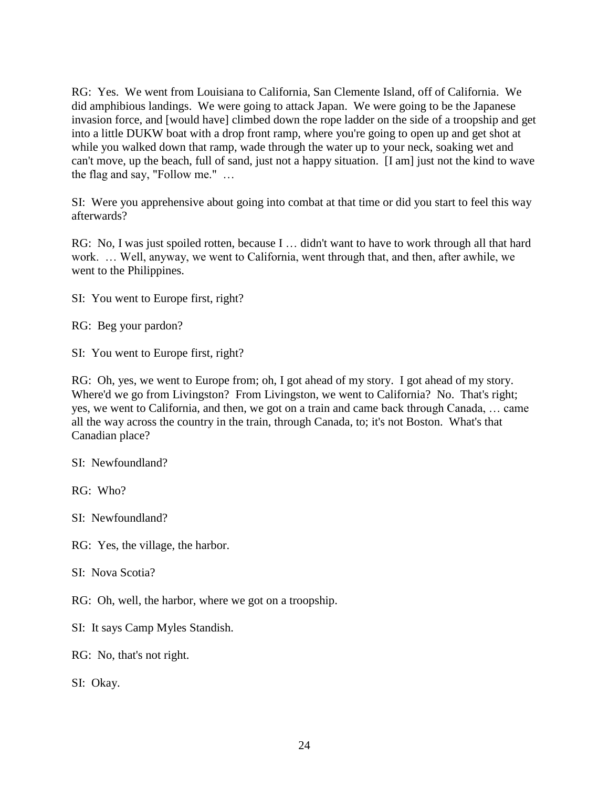RG: Yes. We went from Louisiana to California, San Clemente Island, off of California. We did amphibious landings. We were going to attack Japan. We were going to be the Japanese invasion force, and [would have] climbed down the rope ladder on the side of a troopship and get into a little DUKW boat with a drop front ramp, where you're going to open up and get shot at while you walked down that ramp, wade through the water up to your neck, soaking wet and can't move, up the beach, full of sand, just not a happy situation. [I am] just not the kind to wave the flag and say, "Follow me." …

SI: Were you apprehensive about going into combat at that time or did you start to feel this way afterwards?

RG: No, I was just spoiled rotten, because I … didn't want to have to work through all that hard work. … Well, anyway, we went to California, went through that, and then, after awhile, we went to the Philippines.

SI: You went to Europe first, right?

RG: Beg your pardon?

SI: You went to Europe first, right?

RG: Oh, yes, we went to Europe from; oh, I got ahead of my story. I got ahead of my story. Where'd we go from Livingston? From Livingston, we went to California? No. That's right; yes, we went to California, and then, we got on a train and came back through Canada, … came all the way across the country in the train, through Canada, to; it's not Boston. What's that Canadian place?

SI: Newfoundland?

RG: Who?

SI: Newfoundland?

RG: Yes, the village, the harbor.

SI: Nova Scotia?

RG: Oh, well, the harbor, where we got on a troopship.

SI: It says Camp Myles Standish.

RG: No, that's not right.

SI: Okay.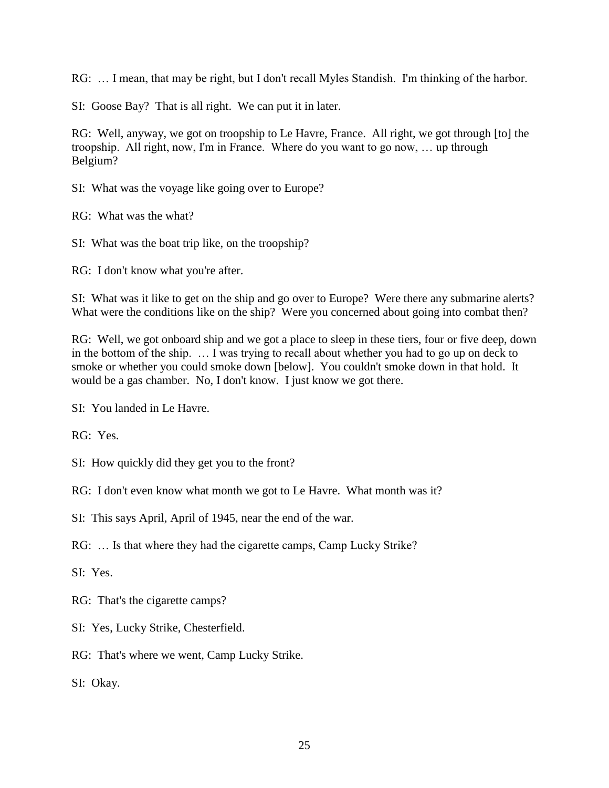RG: … I mean, that may be right, but I don't recall Myles Standish. I'm thinking of the harbor.

SI: Goose Bay? That is all right. We can put it in later.

RG: Well, anyway, we got on troopship to Le Havre, France. All right, we got through [to] the troopship. All right, now, I'm in France. Where do you want to go now, … up through Belgium?

SI: What was the voyage like going over to Europe?

RG: What was the what?

SI: What was the boat trip like, on the troopship?

RG: I don't know what you're after.

SI: What was it like to get on the ship and go over to Europe? Were there any submarine alerts? What were the conditions like on the ship? Were you concerned about going into combat then?

RG: Well, we got onboard ship and we got a place to sleep in these tiers, four or five deep, down in the bottom of the ship. … I was trying to recall about whether you had to go up on deck to smoke or whether you could smoke down [below]. You couldn't smoke down in that hold. It would be a gas chamber. No, I don't know. I just know we got there.

SI: You landed in Le Havre.

RG: Yes.

SI: How quickly did they get you to the front?

RG: I don't even know what month we got to Le Havre. What month was it?

SI: This says April, April of 1945, near the end of the war.

RG: … Is that where they had the cigarette camps, Camp Lucky Strike?

SI: Yes.

RG: That's the cigarette camps?

SI: Yes, Lucky Strike, Chesterfield.

RG: That's where we went, Camp Lucky Strike.

SI: Okay.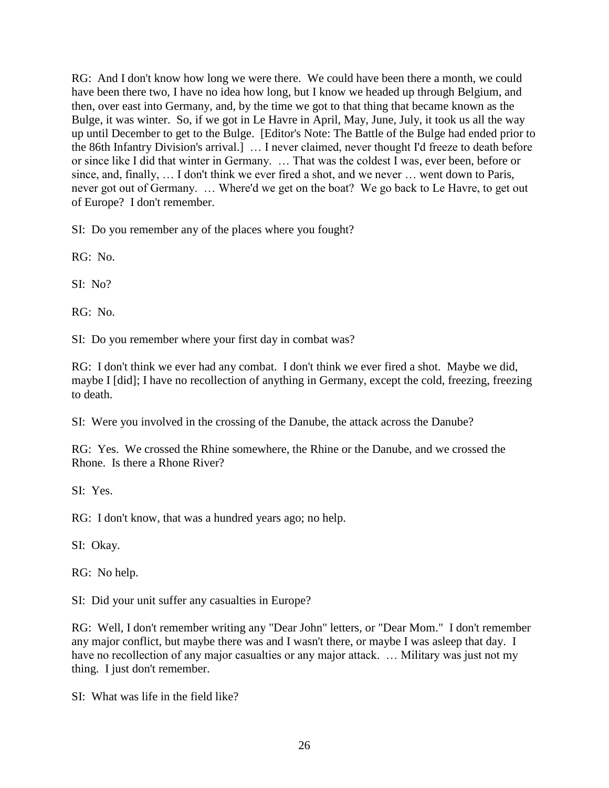RG: And I don't know how long we were there. We could have been there a month, we could have been there two, I have no idea how long, but I know we headed up through Belgium, and then, over east into Germany, and, by the time we got to that thing that became known as the Bulge, it was winter. So, if we got in Le Havre in April, May, June, July, it took us all the way up until December to get to the Bulge. [Editor's Note: The Battle of the Bulge had ended prior to the 86th Infantry Division's arrival.] … I never claimed, never thought I'd freeze to death before or since like I did that winter in Germany. … That was the coldest I was, ever been, before or since, and, finally, … I don't think we ever fired a shot, and we never … went down to Paris, never got out of Germany. … Where'd we get on the boat? We go back to Le Havre, to get out of Europe? I don't remember.

SI: Do you remember any of the places where you fought?

RG: No.

SI: No?

RG: No.

SI: Do you remember where your first day in combat was?

RG: I don't think we ever had any combat. I don't think we ever fired a shot. Maybe we did, maybe I [did]; I have no recollection of anything in Germany, except the cold, freezing, freezing to death.

SI: Were you involved in the crossing of the Danube, the attack across the Danube?

RG: Yes. We crossed the Rhine somewhere, the Rhine or the Danube, and we crossed the Rhone. Is there a Rhone River?

SI: Yes.

RG: I don't know, that was a hundred years ago; no help.

SI: Okay.

RG: No help.

SI: Did your unit suffer any casualties in Europe?

RG: Well, I don't remember writing any "Dear John" letters, or "Dear Mom." I don't remember any major conflict, but maybe there was and I wasn't there, or maybe I was asleep that day. I have no recollection of any major casualties or any major attack. ... Military was just not my thing. I just don't remember.

SI: What was life in the field like?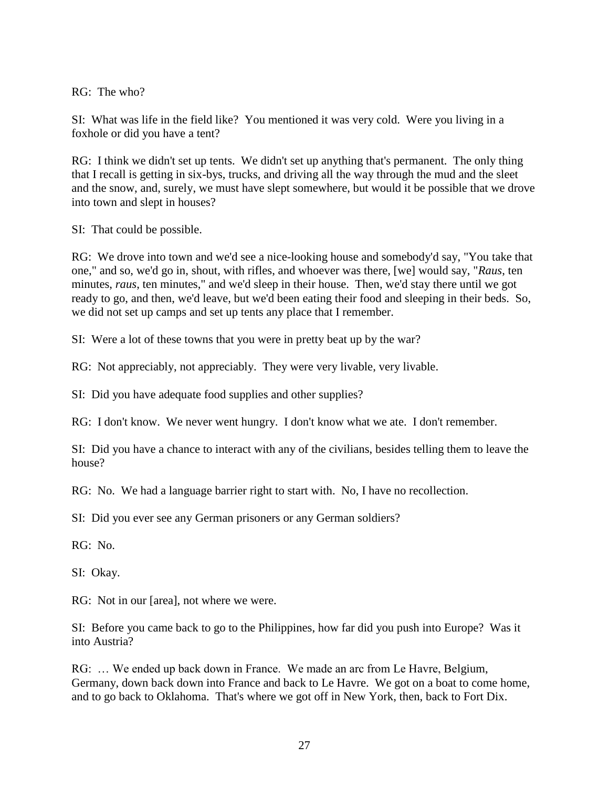RG: The who?

SI: What was life in the field like? You mentioned it was very cold. Were you living in a foxhole or did you have a tent?

RG: I think we didn't set up tents. We didn't set up anything that's permanent. The only thing that I recall is getting in six-bys, trucks, and driving all the way through the mud and the sleet and the snow, and, surely, we must have slept somewhere, but would it be possible that we drove into town and slept in houses?

SI: That could be possible.

RG: We drove into town and we'd see a nice-looking house and somebody'd say, "You take that one," and so, we'd go in, shout, with rifles, and whoever was there, [we] would say, "*Raus*, ten minutes, *raus*, ten minutes," and we'd sleep in their house. Then, we'd stay there until we got ready to go, and then, we'd leave, but we'd been eating their food and sleeping in their beds. So, we did not set up camps and set up tents any place that I remember.

SI: Were a lot of these towns that you were in pretty beat up by the war?

RG: Not appreciably, not appreciably. They were very livable, very livable.

SI: Did you have adequate food supplies and other supplies?

RG: I don't know. We never went hungry. I don't know what we ate. I don't remember.

SI: Did you have a chance to interact with any of the civilians, besides telling them to leave the house?

RG: No. We had a language barrier right to start with. No, I have no recollection.

SI: Did you ever see any German prisoners or any German soldiers?

RG: No.

SI: Okay.

RG: Not in our [area], not where we were.

SI: Before you came back to go to the Philippines, how far did you push into Europe? Was it into Austria?

RG: … We ended up back down in France. We made an arc from Le Havre, Belgium, Germany, down back down into France and back to Le Havre. We got on a boat to come home, and to go back to Oklahoma. That's where we got off in New York, then, back to Fort Dix.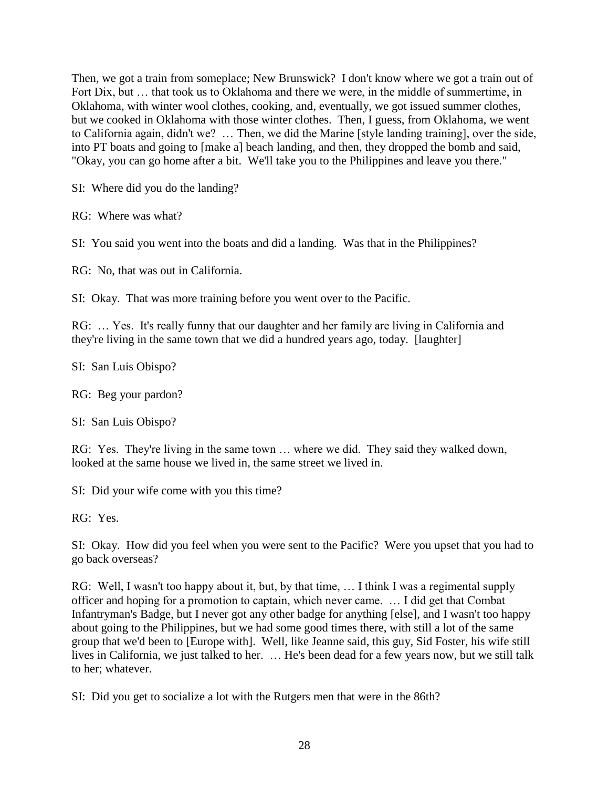Then, we got a train from someplace; New Brunswick? I don't know where we got a train out of Fort Dix, but … that took us to Oklahoma and there we were, in the middle of summertime, in Oklahoma, with winter wool clothes, cooking, and, eventually, we got issued summer clothes, but we cooked in Oklahoma with those winter clothes. Then, I guess, from Oklahoma, we went to California again, didn't we? … Then, we did the Marine [style landing training], over the side, into PT boats and going to [make a] beach landing, and then, they dropped the bomb and said, "Okay, you can go home after a bit. We'll take you to the Philippines and leave you there."

SI: Where did you do the landing?

RG: Where was what?

SI: You said you went into the boats and did a landing. Was that in the Philippines?

RG: No, that was out in California.

SI: Okay. That was more training before you went over to the Pacific.

RG: … Yes. It's really funny that our daughter and her family are living in California and they're living in the same town that we did a hundred years ago, today. [laughter]

SI: San Luis Obispo?

RG: Beg your pardon?

SI: San Luis Obispo?

RG: Yes. They're living in the same town … where we did. They said they walked down, looked at the same house we lived in, the same street we lived in.

SI: Did your wife come with you this time?

RG: Yes.

SI: Okay. How did you feel when you were sent to the Pacific? Were you upset that you had to go back overseas?

RG: Well, I wasn't too happy about it, but, by that time, … I think I was a regimental supply officer and hoping for a promotion to captain, which never came. … I did get that Combat Infantryman's Badge, but I never got any other badge for anything [else], and I wasn't too happy about going to the Philippines, but we had some good times there, with still a lot of the same group that we'd been to [Europe with]. Well, like Jeanne said, this guy, Sid Foster, his wife still lives in California, we just talked to her. … He's been dead for a few years now, but we still talk to her; whatever.

SI: Did you get to socialize a lot with the Rutgers men that were in the 86th?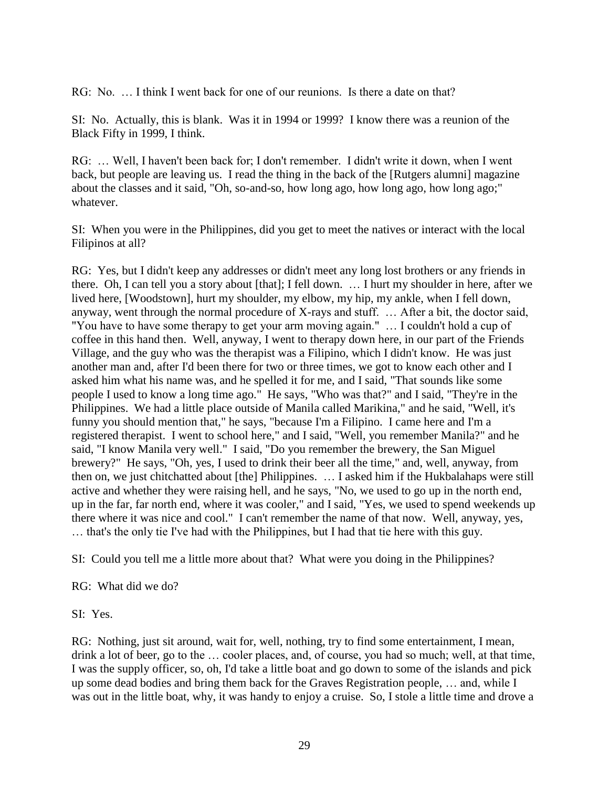RG: No. … I think I went back for one of our reunions. Is there a date on that?

SI: No. Actually, this is blank. Was it in 1994 or 1999? I know there was a reunion of the Black Fifty in 1999, I think.

RG: … Well, I haven't been back for; I don't remember. I didn't write it down, when I went back, but people are leaving us. I read the thing in the back of the [Rutgers alumni] magazine about the classes and it said, "Oh, so-and-so, how long ago, how long ago, how long ago;" whatever.

SI: When you were in the Philippines, did you get to meet the natives or interact with the local Filipinos at all?

RG: Yes, but I didn't keep any addresses or didn't meet any long lost brothers or any friends in there. Oh, I can tell you a story about [that]; I fell down. … I hurt my shoulder in here, after we lived here, [Woodstown], hurt my shoulder, my elbow, my hip, my ankle, when I fell down, anyway, went through the normal procedure of X-rays and stuff. … After a bit, the doctor said, "You have to have some therapy to get your arm moving again." … I couldn't hold a cup of coffee in this hand then. Well, anyway, I went to therapy down here, in our part of the Friends Village, and the guy who was the therapist was a Filipino, which I didn't know. He was just another man and, after I'd been there for two or three times, we got to know each other and I asked him what his name was, and he spelled it for me, and I said, "That sounds like some people I used to know a long time ago." He says, "Who was that?" and I said, "They're in the Philippines. We had a little place outside of Manila called Marikina," and he said, "Well, it's funny you should mention that," he says, "because I'm a Filipino. I came here and I'm a registered therapist. I went to school here," and I said, "Well, you remember Manila?" and he said, "I know Manila very well." I said, "Do you remember the brewery, the San Miguel brewery?" He says, "Oh, yes, I used to drink their beer all the time," and, well, anyway, from then on, we just chitchatted about [the] Philippines. … I asked him if the Hukbalahaps were still active and whether they were raising hell, and he says, "No, we used to go up in the north end, up in the far, far north end, where it was cooler," and I said, "Yes, we used to spend weekends up there where it was nice and cool." I can't remember the name of that now. Well, anyway, yes, … that's the only tie I've had with the Philippines, but I had that tie here with this guy.

SI: Could you tell me a little more about that? What were you doing in the Philippines?

RG: What did we do?

SI: Yes.

RG: Nothing, just sit around, wait for, well, nothing, try to find some entertainment, I mean, drink a lot of beer, go to the … cooler places, and, of course, you had so much; well, at that time, I was the supply officer, so, oh, I'd take a little boat and go down to some of the islands and pick up some dead bodies and bring them back for the Graves Registration people, … and, while I was out in the little boat, why, it was handy to enjoy a cruise. So, I stole a little time and drove a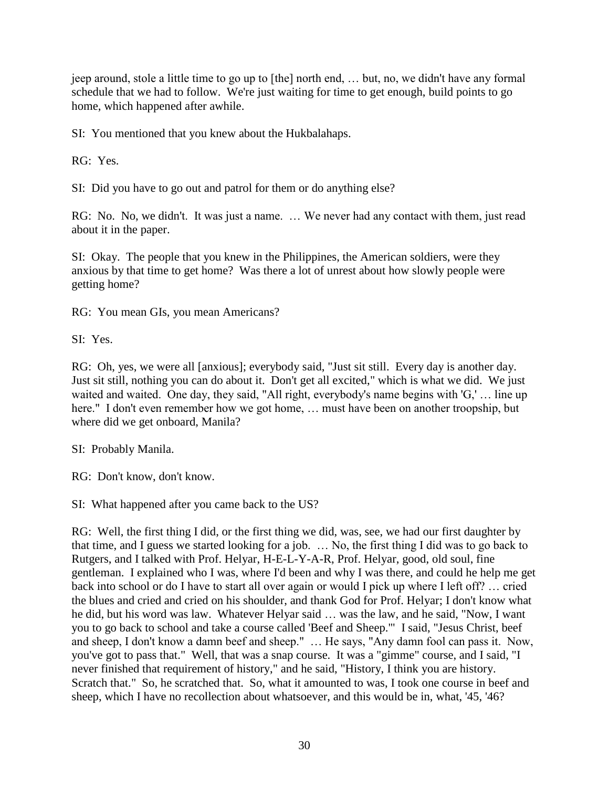jeep around, stole a little time to go up to [the] north end, … but, no, we didn't have any formal schedule that we had to follow. We're just waiting for time to get enough, build points to go home, which happened after awhile.

SI: You mentioned that you knew about the Hukbalahaps.

RG: Yes.

SI: Did you have to go out and patrol for them or do anything else?

RG: No. No, we didn't. It was just a name. … We never had any contact with them, just read about it in the paper.

SI: Okay. The people that you knew in the Philippines, the American soldiers, were they anxious by that time to get home? Was there a lot of unrest about how slowly people were getting home?

RG: You mean GIs, you mean Americans?

SI: Yes.

RG: Oh, yes, we were all [anxious]; everybody said, "Just sit still. Every day is another day. Just sit still, nothing you can do about it. Don't get all excited," which is what we did. We just waited and waited. One day, they said, "All right, everybody's name begins with 'G,' … line up here." I don't even remember how we got home, ... must have been on another troopship, but where did we get onboard, Manila?

SI: Probably Manila.

RG: Don't know, don't know.

SI: What happened after you came back to the US?

RG: Well, the first thing I did, or the first thing we did, was, see, we had our first daughter by that time, and I guess we started looking for a job. … No, the first thing I did was to go back to Rutgers, and I talked with Prof. Helyar, H-E-L-Y-A-R, Prof. Helyar, good, old soul, fine gentleman. I explained who I was, where I'd been and why I was there, and could he help me get back into school or do I have to start all over again or would I pick up where I left off? … cried the blues and cried and cried on his shoulder, and thank God for Prof. Helyar; I don't know what he did, but his word was law. Whatever Helyar said … was the law, and he said, "Now, I want you to go back to school and take a course called 'Beef and Sheep.'" I said, "Jesus Christ, beef and sheep, I don't know a damn beef and sheep." … He says, "Any damn fool can pass it. Now, you've got to pass that." Well, that was a snap course. It was a "gimme" course, and I said, "I never finished that requirement of history," and he said, "History, I think you are history. Scratch that." So, he scratched that. So, what it amounted to was, I took one course in beef and sheep, which I have no recollection about whatsoever, and this would be in, what, '45, '46?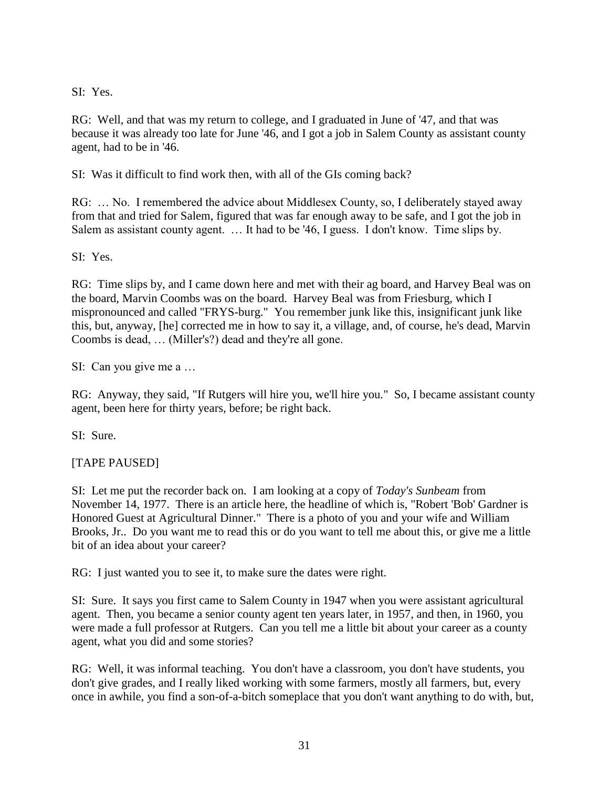SI: Yes.

RG: Well, and that was my return to college, and I graduated in June of '47, and that was because it was already too late for June '46, and I got a job in Salem County as assistant county agent, had to be in '46.

SI: Was it difficult to find work then, with all of the GIs coming back?

RG: ... No. I remembered the advice about Middlesex County, so, I deliberately stayed away from that and tried for Salem, figured that was far enough away to be safe, and I got the job in Salem as assistant county agent. … It had to be '46, I guess. I don't know. Time slips by.

SI: Yes.

RG: Time slips by, and I came down here and met with their ag board, and Harvey Beal was on the board, Marvin Coombs was on the board. Harvey Beal was from Friesburg, which I mispronounced and called "FRYS-burg." You remember junk like this, insignificant junk like this, but, anyway, [he] corrected me in how to say it, a village, and, of course, he's dead, Marvin Coombs is dead, … (Miller's?) dead and they're all gone.

SI: Can you give me a …

RG: Anyway, they said, "If Rutgers will hire you, we'll hire you." So, I became assistant county agent, been here for thirty years, before; be right back.

SI: Sure.

[TAPE PAUSED]

SI: Let me put the recorder back on. I am looking at a copy of *Today's Sunbeam* from November 14, 1977. There is an article here, the headline of which is, "Robert 'Bob' Gardner is Honored Guest at Agricultural Dinner." There is a photo of you and your wife and William Brooks, Jr.. Do you want me to read this or do you want to tell me about this, or give me a little bit of an idea about your career?

RG: I just wanted you to see it, to make sure the dates were right.

SI: Sure. It says you first came to Salem County in 1947 when you were assistant agricultural agent. Then, you became a senior county agent ten years later, in 1957, and then, in 1960, you were made a full professor at Rutgers. Can you tell me a little bit about your career as a county agent, what you did and some stories?

RG: Well, it was informal teaching. You don't have a classroom, you don't have students, you don't give grades, and I really liked working with some farmers, mostly all farmers, but, every once in awhile, you find a son-of-a-bitch someplace that you don't want anything to do with, but,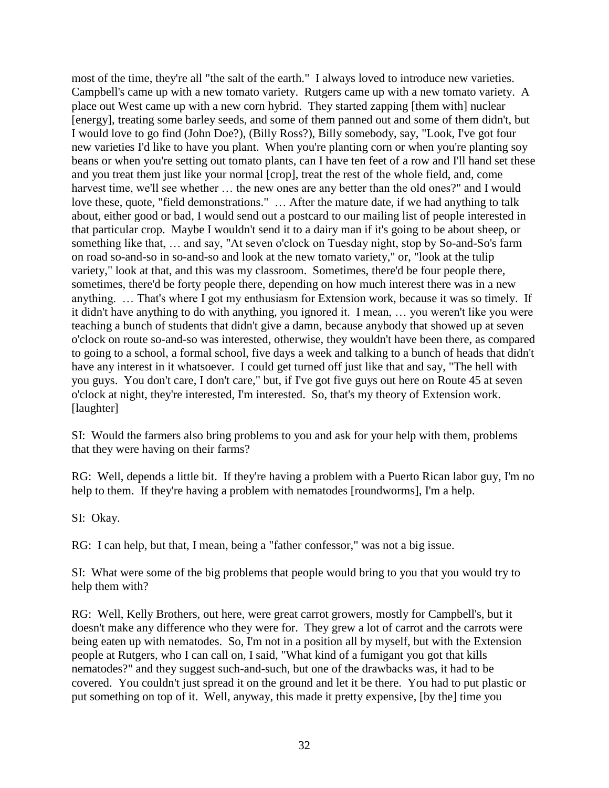most of the time, they're all "the salt of the earth." I always loved to introduce new varieties. Campbell's came up with a new tomato variety. Rutgers came up with a new tomato variety. A place out West came up with a new corn hybrid. They started zapping [them with] nuclear [energy], treating some barley seeds, and some of them panned out and some of them didn't, but I would love to go find (John Doe?), (Billy Ross?), Billy somebody, say, "Look, I've got four new varieties I'd like to have you plant. When you're planting corn or when you're planting soy beans or when you're setting out tomato plants, can I have ten feet of a row and I'll hand set these and you treat them just like your normal [crop], treat the rest of the whole field, and, come harvest time, we'll see whether ... the new ones are any better than the old ones?" and I would love these, quote, "field demonstrations." … After the mature date, if we had anything to talk about, either good or bad, I would send out a postcard to our mailing list of people interested in that particular crop. Maybe I wouldn't send it to a dairy man if it's going to be about sheep, or something like that, … and say, "At seven o'clock on Tuesday night, stop by So-and-So's farm on road so-and-so in so-and-so and look at the new tomato variety," or, "look at the tulip variety," look at that, and this was my classroom. Sometimes, there'd be four people there, sometimes, there'd be forty people there, depending on how much interest there was in a new anything. … That's where I got my enthusiasm for Extension work, because it was so timely. If it didn't have anything to do with anything, you ignored it. I mean, … you weren't like you were teaching a bunch of students that didn't give a damn, because anybody that showed up at seven o'clock on route so-and-so was interested, otherwise, they wouldn't have been there, as compared to going to a school, a formal school, five days a week and talking to a bunch of heads that didn't have any interest in it whatsoever. I could get turned off just like that and say, "The hell with you guys. You don't care, I don't care," but, if I've got five guys out here on Route 45 at seven o'clock at night, they're interested, I'm interested. So, that's my theory of Extension work. [laughter]

SI: Would the farmers also bring problems to you and ask for your help with them, problems that they were having on their farms?

RG: Well, depends a little bit. If they're having a problem with a Puerto Rican labor guy, I'm no help to them. If they're having a problem with nematodes [roundworms], I'm a help.

SI: Okay.

RG: I can help, but that, I mean, being a "father confessor," was not a big issue.

SI: What were some of the big problems that people would bring to you that you would try to help them with?

RG: Well, Kelly Brothers, out here, were great carrot growers, mostly for Campbell's, but it doesn't make any difference who they were for. They grew a lot of carrot and the carrots were being eaten up with nematodes. So, I'm not in a position all by myself, but with the Extension people at Rutgers, who I can call on, I said, "What kind of a fumigant you got that kills nematodes?" and they suggest such-and-such, but one of the drawbacks was, it had to be covered. You couldn't just spread it on the ground and let it be there. You had to put plastic or put something on top of it. Well, anyway, this made it pretty expensive, [by the] time you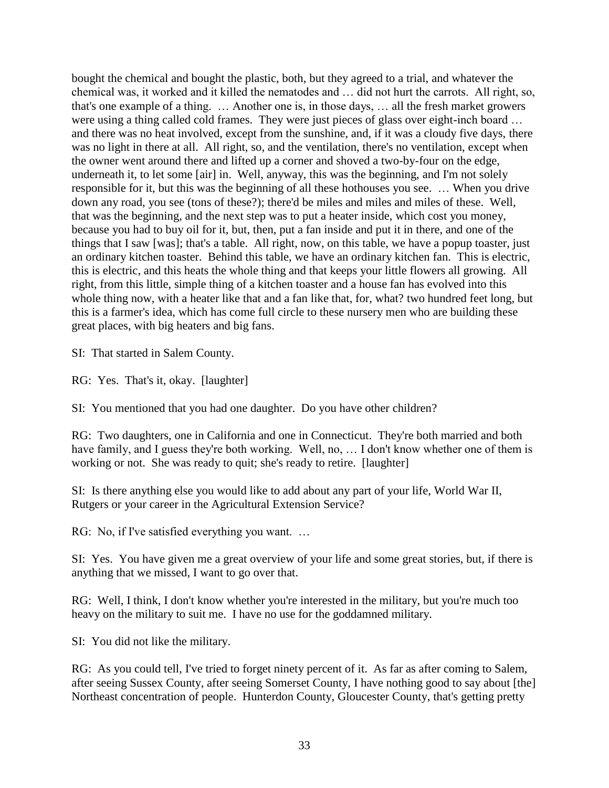bought the chemical and bought the plastic, both, but they agreed to a trial, and whatever the chemical was, it worked and it killed the nematodes and … did not hurt the carrots. All right, so, that's one example of a thing. … Another one is, in those days, … all the fresh market growers were using a thing called cold frames. They were just pieces of glass over eight-inch board … and there was no heat involved, except from the sunshine, and, if it was a cloudy five days, there was no light in there at all. All right, so, and the ventilation, there's no ventilation, except when the owner went around there and lifted up a corner and shoved a two-by-four on the edge, underneath it, to let some [air] in. Well, anyway, this was the beginning, and I'm not solely responsible for it, but this was the beginning of all these hothouses you see. … When you drive down any road, you see (tons of these?); there'd be miles and miles and miles of these. Well, that was the beginning, and the next step was to put a heater inside, which cost you money, because you had to buy oil for it, but, then, put a fan inside and put it in there, and one of the things that I saw [was]; that's a table. All right, now, on this table, we have a popup toaster, just an ordinary kitchen toaster. Behind this table, we have an ordinary kitchen fan. This is electric, this is electric, and this heats the whole thing and that keeps your little flowers all growing. All right, from this little, simple thing of a kitchen toaster and a house fan has evolved into this whole thing now, with a heater like that and a fan like that, for, what? two hundred feet long, but this is a farmer's idea, which has come full circle to these nursery men who are building these great places, with big heaters and big fans.

SI: That started in Salem County.

RG: Yes. That's it, okay. [laughter]

SI: You mentioned that you had one daughter. Do you have other children?

RG: Two daughters, one in California and one in Connecticut. They're both married and both have family, and I guess they're both working. Well, no, ... I don't know whether one of them is working or not. She was ready to quit; she's ready to retire. [laughter]

SI: Is there anything else you would like to add about any part of your life, World War II, Rutgers or your career in the Agricultural Extension Service?

RG: No, if I've satisfied everything you want. …

SI: Yes. You have given me a great overview of your life and some great stories, but, if there is anything that we missed, I want to go over that.

RG: Well, I think, I don't know whether you're interested in the military, but you're much too heavy on the military to suit me. I have no use for the goddamned military.

SI: You did not like the military.

RG: As you could tell, I've tried to forget ninety percent of it. As far as after coming to Salem, after seeing Sussex County, after seeing Somerset County, I have nothing good to say about [the] Northeast concentration of people. Hunterdon County, Gloucester County, that's getting pretty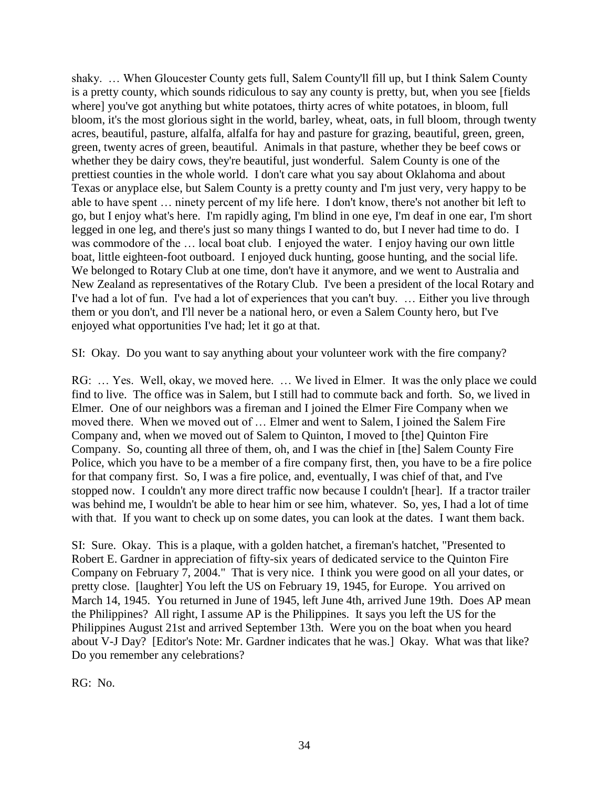shaky. … When Gloucester County gets full, Salem County'll fill up, but I think Salem County is a pretty county, which sounds ridiculous to say any county is pretty, but, when you see [fields where] you've got anything but white potatoes, thirty acres of white potatoes, in bloom, full bloom, it's the most glorious sight in the world, barley, wheat, oats, in full bloom, through twenty acres, beautiful, pasture, alfalfa, alfalfa for hay and pasture for grazing, beautiful, green, green, green, twenty acres of green, beautiful. Animals in that pasture, whether they be beef cows or whether they be dairy cows, they're beautiful, just wonderful. Salem County is one of the prettiest counties in the whole world. I don't care what you say about Oklahoma and about Texas or anyplace else, but Salem County is a pretty county and I'm just very, very happy to be able to have spent … ninety percent of my life here. I don't know, there's not another bit left to go, but I enjoy what's here. I'm rapidly aging, I'm blind in one eye, I'm deaf in one ear, I'm short legged in one leg, and there's just so many things I wanted to do, but I never had time to do. I was commodore of the ... local boat club. I enjoyed the water. I enjoy having our own little boat, little eighteen-foot outboard. I enjoyed duck hunting, goose hunting, and the social life. We belonged to Rotary Club at one time, don't have it anymore, and we went to Australia and New Zealand as representatives of the Rotary Club. I've been a president of the local Rotary and I've had a lot of fun. I've had a lot of experiences that you can't buy. … Either you live through them or you don't, and I'll never be a national hero, or even a Salem County hero, but I've enjoyed what opportunities I've had; let it go at that.

SI: Okay. Do you want to say anything about your volunteer work with the fire company?

RG: … Yes. Well, okay, we moved here. … We lived in Elmer. It was the only place we could find to live. The office was in Salem, but I still had to commute back and forth. So, we lived in Elmer. One of our neighbors was a fireman and I joined the Elmer Fire Company when we moved there. When we moved out of … Elmer and went to Salem, I joined the Salem Fire Company and, when we moved out of Salem to Quinton, I moved to [the] Quinton Fire Company. So, counting all three of them, oh, and I was the chief in [the] Salem County Fire Police, which you have to be a member of a fire company first, then, you have to be a fire police for that company first. So, I was a fire police, and, eventually, I was chief of that, and I've stopped now. I couldn't any more direct traffic now because I couldn't [hear]. If a tractor trailer was behind me, I wouldn't be able to hear him or see him, whatever. So, yes, I had a lot of time with that. If you want to check up on some dates, you can look at the dates. I want them back.

SI: Sure. Okay. This is a plaque, with a golden hatchet, a fireman's hatchet, "Presented to Robert E. Gardner in appreciation of fifty-six years of dedicated service to the Quinton Fire Company on February 7, 2004." That is very nice. I think you were good on all your dates, or pretty close. [laughter] You left the US on February 19, 1945, for Europe. You arrived on March 14, 1945. You returned in June of 1945, left June 4th, arrived June 19th. Does AP mean the Philippines? All right, I assume AP is the Philippines. It says you left the US for the Philippines August 21st and arrived September 13th. Were you on the boat when you heard about V-J Day? [Editor's Note: Mr. Gardner indicates that he was.] Okay. What was that like? Do you remember any celebrations?

RG: No.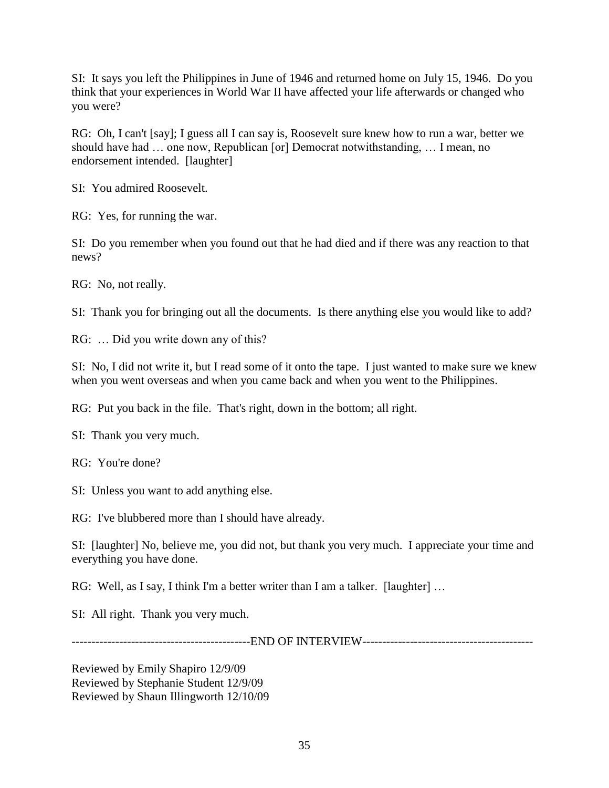SI: It says you left the Philippines in June of 1946 and returned home on July 15, 1946. Do you think that your experiences in World War II have affected your life afterwards or changed who you were?

RG: Oh, I can't [say]; I guess all I can say is, Roosevelt sure knew how to run a war, better we should have had … one now, Republican [or] Democrat notwithstanding, … I mean, no endorsement intended. [laughter]

SI: You admired Roosevelt.

RG: Yes, for running the war.

SI: Do you remember when you found out that he had died and if there was any reaction to that news?

RG: No, not really.

SI: Thank you for bringing out all the documents. Is there anything else you would like to add?

RG: ... Did you write down any of this?

SI: No, I did not write it, but I read some of it onto the tape. I just wanted to make sure we knew when you went overseas and when you came back and when you went to the Philippines.

RG: Put you back in the file. That's right, down in the bottom; all right.

SI: Thank you very much.

RG: You're done?

SI: Unless you want to add anything else.

RG: I've blubbered more than I should have already.

SI: [laughter] No, believe me, you did not, but thank you very much. I appreciate your time and everything you have done.

RG: Well, as I say, I think I'm a better writer than I am a talker. [laughter] ...

SI: All right. Thank you very much.

---------------------------------------------END OF INTERVIEW-------------------------------------------

Reviewed by Emily Shapiro 12/9/09 Reviewed by Stephanie Student 12/9/09 Reviewed by Shaun Illingworth 12/10/09